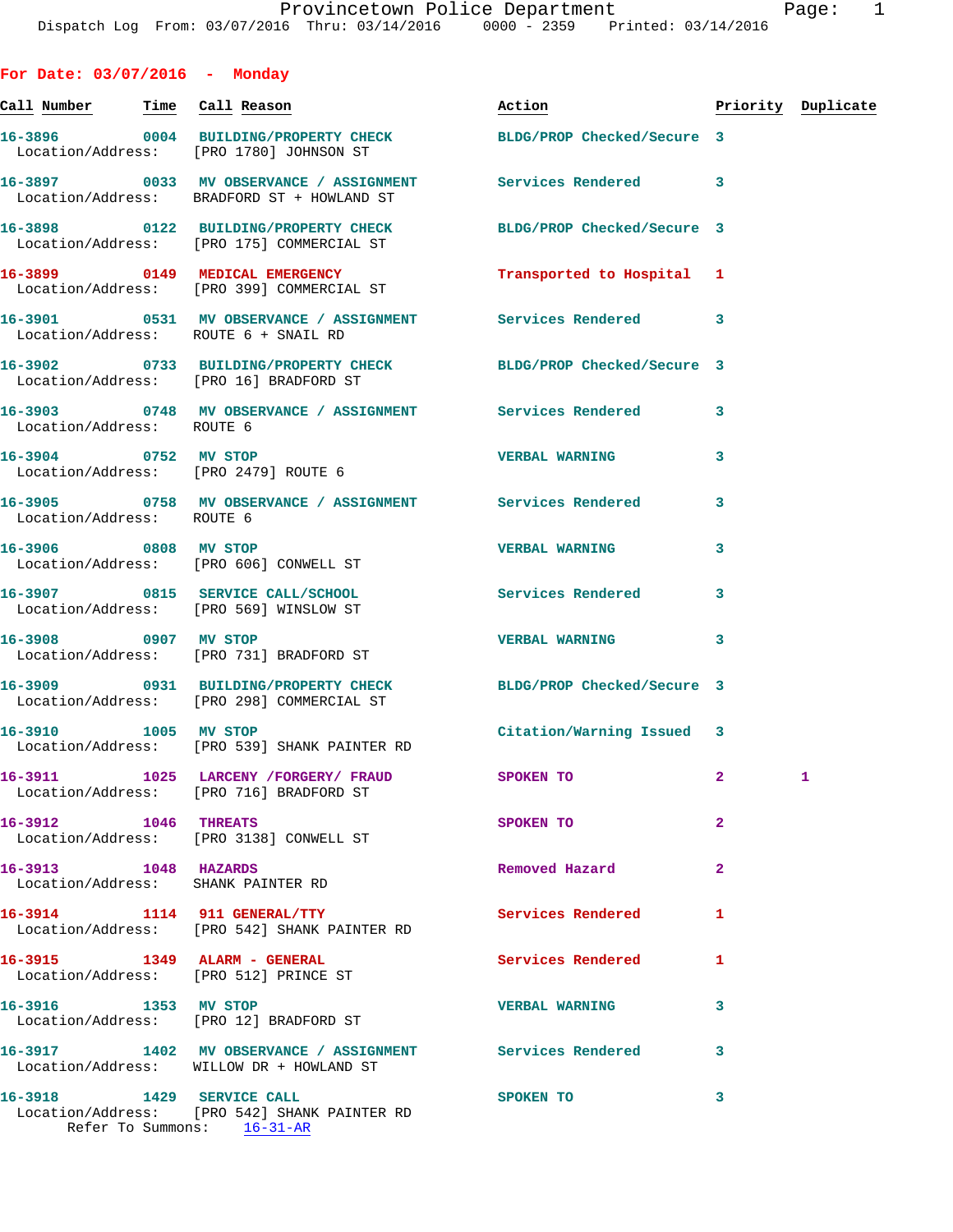**For Date: 03/07/2016 - Monday Call Number Time Call Reason Action Priority Duplicate 16-3896 0004 BUILDING/PROPERTY CHECK BLDG/PROP Checked/Secure 3**  Location/Address: [PRO 1780] JOHNSON ST **16-3897 0033 MV OBSERVANCE / ASSIGNMENT Services Rendered 3**  Location/Address: BRADFORD ST + HOWLAND ST **16-3898 0122 BUILDING/PROPERTY CHECK BLDG/PROP Checked/Secure 3**  Location/Address: [PRO 175] COMMERCIAL ST **16-3899 0149 MEDICAL EMERGENCY Transported to Hospital 1**  Location/Address: [PRO 399] COMMERCIAL ST **16-3901 0531 MV OBSERVANCE / ASSIGNMENT Services Rendered 3**  Location/Address: ROUTE 6 + SNAIL RD **16-3902 0733 BUILDING/PROPERTY CHECK BLDG/PROP Checked/Secure 3**  Location/Address: [PRO 16] BRADFORD ST **16-3903 0748 MV OBSERVANCE / ASSIGNMENT Services Rendered 3**  Location/Address: ROUTE 6 **16-3904 0752 MV STOP VERBAL WARNING 3**  Location/Address: [PRO 2479] ROUTE 6 **16-3905 0758 MV OBSERVANCE / ASSIGNMENT Services Rendered 3**  Location/Address: ROUTE 6 **16-3906 0808 MV STOP VERBAL WARNING 3**  Location/Address: [PRO 606] CONWELL ST **16-3907 0815 SERVICE CALL/SCHOOL Services Rendered 3**  Location/Address: [PRO 569] WINSLOW ST **16-3908 0907 MV STOP VERBAL WARNING 3**  Location/Address: [PRO 731] BRADFORD ST **16-3909 0931 BUILDING/PROPERTY CHECK BLDG/PROP Checked/Secure 3**  Location/Address: [PRO 298] COMMERCIAL ST **16-3910 1005 MV STOP Citation/Warning Issued 3**  Location/Address: [PRO 539] SHANK PAINTER RD **16-3911 1025 LARCENY /FORGERY/ FRAUD SPOKEN TO 2 1**  Location/Address: [PRO 716] BRADFORD ST **16-3912 1046 THREATS SPOKEN TO 2**  Location/Address: [PRO 3138] CONWELL ST **16-3913 1048 HAZARDS Removed Hazard 2**  Location/Address: SHANK PAINTER RD **16-3914 1114 911 GENERAL/TTY Services Rendered 1**  Location/Address: [PRO 542] SHANK PAINTER RD **16-3915 1349 ALARM - GENERAL Services Rendered 1**  Location/Address: [PRO 512] PRINCE ST **16-3916 1353 MV STOP VERBAL WARNING 3**  Location/Address: [PRO 12] BRADFORD ST **16-3917 1402 MV OBSERVANCE / ASSIGNMENT Services Rendered 3**  Location/Address: WILLOW DR + HOWLAND ST

**16-3918 1429 SERVICE CALL SPOKEN TO 3**  Location/Address: [PRO 542] SHANK PAINTER RD Refer To Summons: 16-31-AR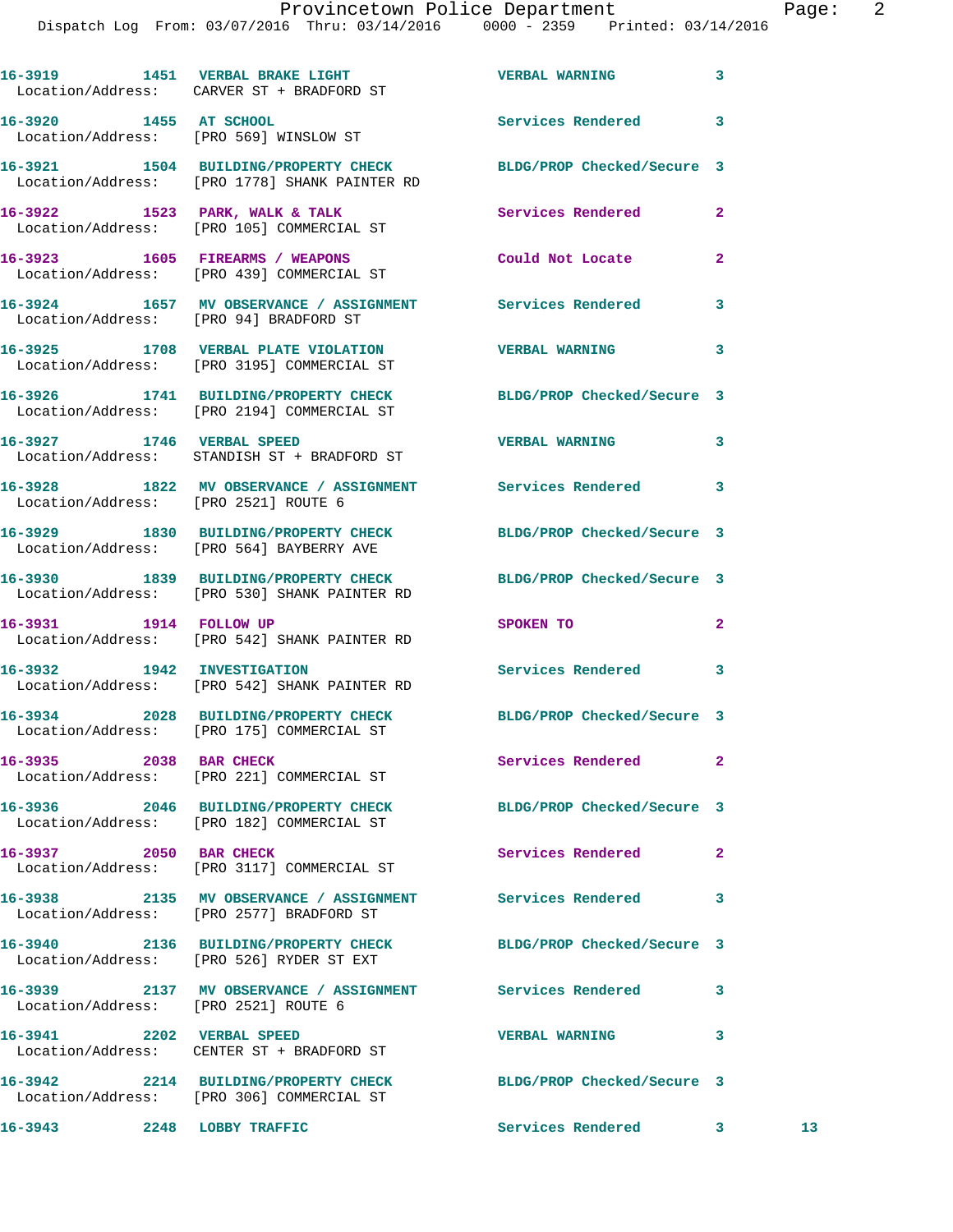Dispatch Log From: 03/07/2016 Thru: 03/14/2016 0000 - 2359 Printed: 03/14/2016 **16-3919 1451 VERBAL BRAKE LIGHT VERBAL WARNING 3**  Location/Address: CARVER ST + BRADFORD ST **16-3920 1455 AT SCHOOL Services Rendered 3**  Location/Address: [PRO 569] WINSLOW ST **16-3921 1504 BUILDING/PROPERTY CHECK BLDG/PROP Checked/Secure 3**  Location/Address: [PRO 1778] SHANK PAINTER RD 16-3922 1523 PARK, WALK & TALK **Services Rendered** 2 Location/Address: [PRO 105] COMMERCIAL ST **16-3923 1605 FIREARMS / WEAPONS Could Not Locate 2**  Location/Address: [PRO 439] COMMERCIAL ST **16-3924 1657 MV OBSERVANCE / ASSIGNMENT Services Rendered 3**  Location/Address: [PRO 94] BRADFORD ST **16-3925 1708 VERBAL PLATE VIOLATION VERBAL WARNING 3**  Location/Address: [PRO 3195] COMMERCIAL ST **16-3926 1741 BUILDING/PROPERTY CHECK BLDG/PROP Checked/Secure 3**  Location/Address: [PRO 2194] COMMERCIAL ST **16-3927 1746 VERBAL SPEED VERBAL WARNING 3**  Location/Address: STANDISH ST + BRADFORD ST **16-3928 1822 MV OBSERVANCE / ASSIGNMENT Services Rendered 3**  Location/Address: [PRO 2521] ROUTE 6 **16-3929 1830 BUILDING/PROPERTY CHECK BLDG/PROP Checked/Secure 3**  Location/Address: [PRO 564] BAYBERRY AVE **16-3930 1839 BUILDING/PROPERTY CHECK BLDG/PROP Checked/Secure 3**  Location/Address: [PRO 530] SHANK PAINTER RD **16-3931 1914 FOLLOW UP SPOKEN TO 2**<br> **16-3931** 1914 **IOCALIA SEANE SEANE AREAD SPOKEN TO** [PRO 542] SHANK PAINTER RD **16-3932 1942 INVESTIGATION Services Rendered 3**  Location/Address: [PRO 542] SHANK PAINTER RD **16-3934 2028 BUILDING/PROPERTY CHECK BLDG/PROP Checked/Secure 3**  Location/Address: [PRO 175] COMMERCIAL ST **16-3935 2038 BAR CHECK Services Rendered 2**  Location/Address: [PRO 221] COMMERCIAL ST **16-3936 2046 BUILDING/PROPERTY CHECK BLDG/PROP Checked/Secure 3**  Location/Address: [PRO 182] COMMERCIAL ST **16-3937 2050 BAR CHECK Services Rendered 2**  Location/Address: [PRO 3117] COMMERCIAL ST **16-3938 2135 MV OBSERVANCE / ASSIGNMENT Services Rendered 3**  Location/Address: [PRO 2577] BRADFORD ST **16-3940 2136 BUILDING/PROPERTY CHECK BLDG/PROP Checked/Secure 3**  Location/Address: [PRO 526] RYDER ST EXT **16-3939 2137 MV OBSERVANCE / ASSIGNMENT Services Rendered 3**  Location/Address: [PRO 2521] ROUTE 6 **16-3941 2202 VERBAL SPEED VERBAL WARNING 3**  Location/Address: CENTER ST + BRADFORD ST **16-3942 2214 BUILDING/PROPERTY CHECK BLDG/PROP Checked/Secure 3**  Location/Address: [PRO 306] COMMERCIAL ST **16-3943 2248 LOBBY TRAFFIC Services Rendered 3 13**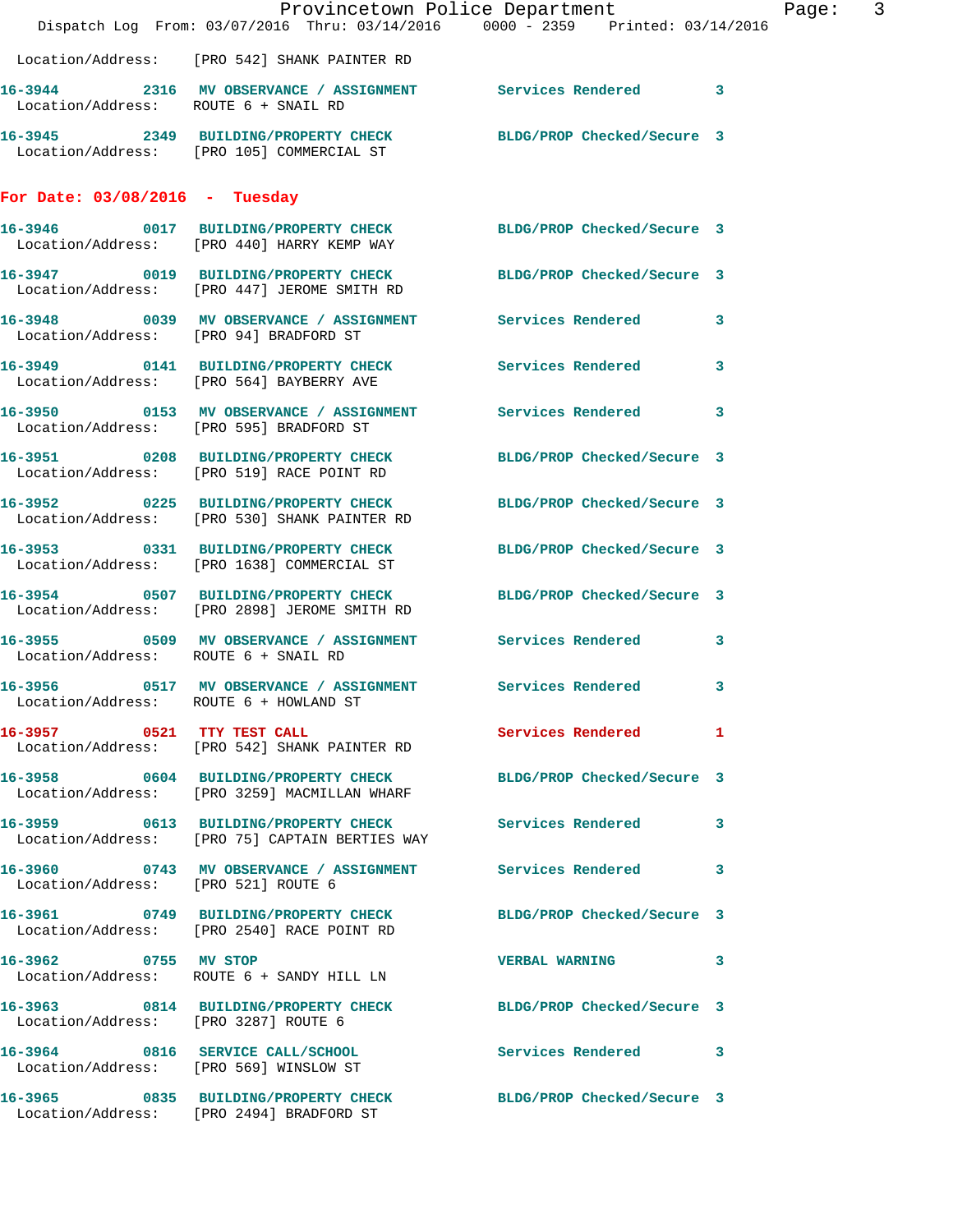|                                        |                                                                                                                 | Provincetown Police Department | Page: 3 |
|----------------------------------------|-----------------------------------------------------------------------------------------------------------------|--------------------------------|---------|
|                                        | Dispatch Log From: 03/07/2016 Thru: 03/14/2016 0000 - 2359 Printed: 03/14/2016                                  |                                |         |
|                                        | Location/Address: [PRO 542] SHANK PAINTER RD                                                                    |                                |         |
| Location/Address: ROUTE 6 + SNAIL RD   | 16-3944 2316 MV OBSERVANCE / ASSIGNMENT Services Rendered 3                                                     |                                |         |
|                                        | 16-3945 2349 BUILDING/PROPERTY CHECK BLDG/PROP Checked/Secure 3<br>Location/Address: [PRO 105] COMMERCIAL ST    |                                |         |
| For Date: $03/08/2016$ - Tuesday       |                                                                                                                 |                                |         |
|                                        | 16-3946 0017 BUILDING/PROPERTY CHECK BLDG/PROP Checked/Secure 3<br>Location/Address: [PRO 440] HARRY KEMP WAY   |                                |         |
|                                        | 16-3947 0019 BUILDING/PROPERTY CHECK BLDG/PROP Checked/Secure 3<br>Location/Address: [PRO 447] JEROME SMITH RD  |                                |         |
| Location/Address: [PRO 94] BRADFORD ST | 16-3948 0039 MV OBSERVANCE / ASSIGNMENT Services Rendered 3                                                     |                                |         |
|                                        | 16-3949 0141 BUILDING/PROPERTY CHECK Services Rendered 3<br>Location/Address: [PRO 564] BAYBERRY AVE            |                                |         |
|                                        | 16-3950 0153 MV OBSERVANCE / ASSIGNMENT Services Rendered 3<br>Location/Address: [PRO 595] BRADFORD ST          |                                |         |
|                                        | 16-3951 0208 BUILDING/PROPERTY CHECK BLDG/PROP Checked/Secure 3<br>Location/Address: [PRO 519] RACE POINT RD    |                                |         |
|                                        | 16-3952 0225 BUILDING/PROPERTY CHECK<br>Location/Address: [PRO 530] SHANK PAINTER RD                            | BLDG/PROP Checked/Secure 3     |         |
|                                        | 16-3953 0331 BUILDING/PROPERTY CHECK<br>Location/Address: [PRO 1638] COMMERCIAL ST                              | BLDG/PROP Checked/Secure 3     |         |
|                                        | 16-3954 0507 BUILDING/PROPERTY CHECK BLDG/PROP Checked/Secure 3<br>Location/Address: [PRO 2898] JEROME SMITH RD |                                |         |
| Location/Address: ROUTE 6 + SNAIL RD   | 16-3955 0509 MV OBSERVANCE / ASSIGNMENT Services Rendered 3                                                     |                                |         |
|                                        | 16-3956 0517 MV OBSERVANCE / ASSIGNMENT Services Rendered 3<br>Location/Address: ROUTE 6 + HOWLAND ST           |                                |         |
|                                        | 16-3957 0521 TTY TEST CALL<br>Location/Address: [PRO 542] SHANK PAINTER RD                                      | Services Rendered 1            |         |
|                                        | 16-3958 0604 BUILDING/PROPERTY CHECK BLDG/PROP Checked/Secure 3<br>Location/Address: [PRO 3259] MACMILLAN WHARF |                                |         |
|                                        | 16-3959 0613 BUILDING/PROPERTY CHECK Services Rendered 3<br>Location/Address: [PRO 75] CAPTAIN BERTIES WAY      |                                |         |
| Location/Address: [PRO 521] ROUTE 6    | 16-3960 0743 MV OBSERVANCE / ASSIGNMENT Services Rendered 3                                                     |                                |         |
|                                        | 16-3961 0749 BUILDING/PROPERTY CHECK BLDG/PROP Checked/Secure 3<br>Location/Address: [PRO 2540] RACE POINT RD   |                                |         |
|                                        | 16-3962 0755 MV STOP<br>Location/Address: ROUTE 6 + SANDY HILL LN                                               | VERBAL WARNING 3               |         |
| Location/Address: [PRO 3287] ROUTE 6   | 16-3963 0814 BUILDING/PROPERTY CHECK BLDG/PROP Checked/Secure 3                                                 |                                |         |
|                                        | 16-3964 0816 SERVICE CALL/SCHOOL<br>Location/Address: [PRO 569] WINSLOW ST                                      | Services Rendered 3            |         |
|                                        | 16-3965 0835 BUILDING/PROPERTY CHECK BLDG/PROP Checked/Secure 3<br>Location/Address: [PRO 2494] BRADFORD ST     |                                |         |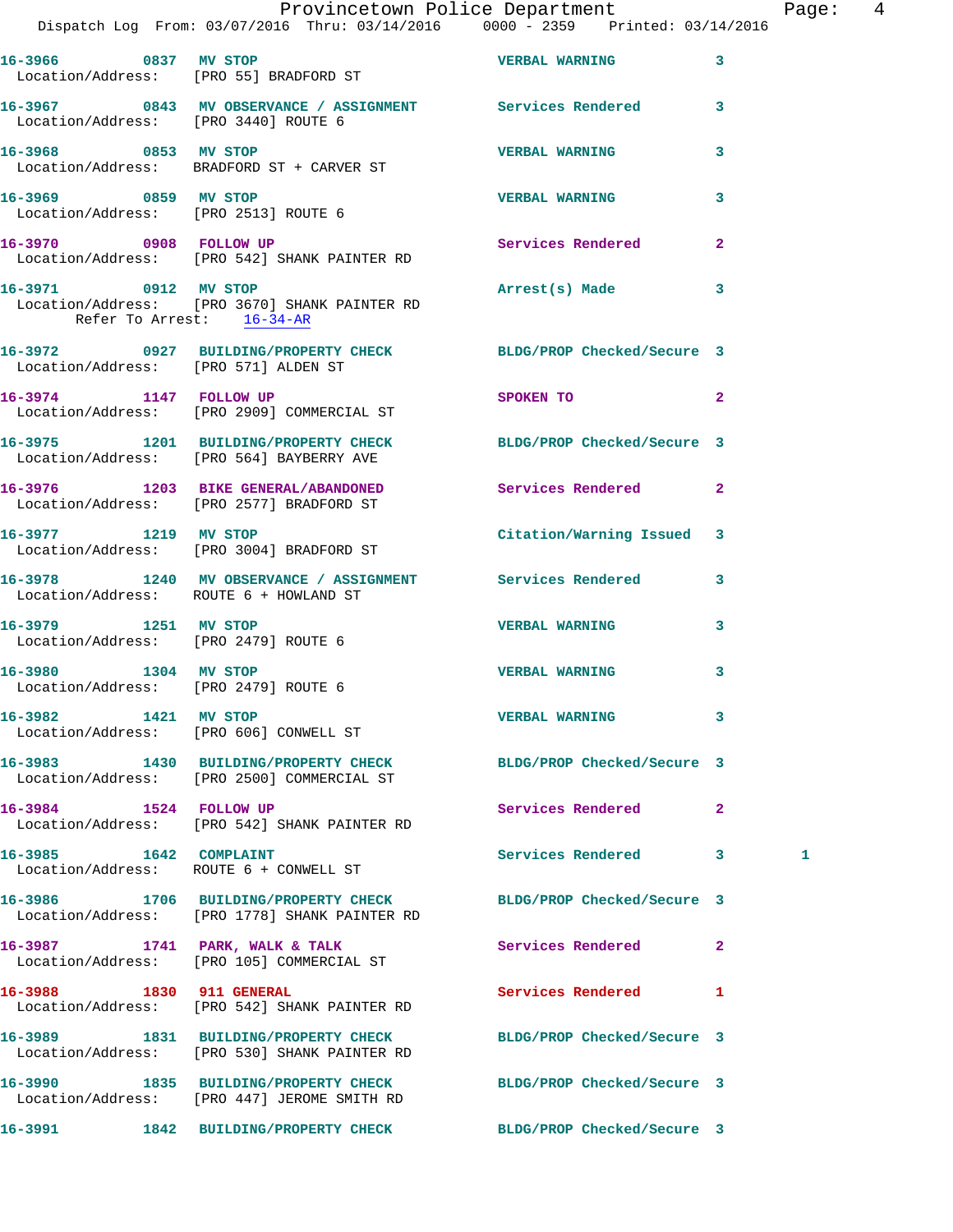|                                                              | Dispatch Log From: 03/07/2016 Thru: 03/14/2016 0000 - 2359 Printed: 03/14/2016                                   | Provincetown Police Department                                                  |                | Page: 4 |  |
|--------------------------------------------------------------|------------------------------------------------------------------------------------------------------------------|---------------------------------------------------------------------------------|----------------|---------|--|
|                                                              | 16-3966 0837 MV STOP<br>Location/Address: [PRO 55] BRADFORD ST                                                   | <b>VERBAL WARNING</b>                                                           | 3              |         |  |
| Location/Address: [PRO 3440] ROUTE 6                         | 16-3967 0843 MV OBSERVANCE / ASSIGNMENT Services Rendered 3                                                      |                                                                                 |                |         |  |
|                                                              | 16-3968 0853 MV STOP<br>Location/Address: BRADFORD ST + CARVER ST                                                | <b>VERBAL WARNING</b>                                                           | 3              |         |  |
| Location/Address: [PRO 2513] ROUTE 6                         | 16-3969 0859 MV STOP                                                                                             | <b>VERBAL WARNING</b>                                                           | 3              |         |  |
|                                                              | 16-3970 0908 FOLLOW UP<br>Location/Address: [PRO 542] SHANK PAINTER RD                                           | Services Rendered                                                               | $\overline{2}$ |         |  |
| Refer To Arrest: 16-34-AR                                    | 16-3971 0912 MV STOP<br>Location/Address: [PRO 3670] SHANK PAINTER RD                                            | Arrest(s) Made                                                                  | 3              |         |  |
| Location/Address: [PRO 571] ALDEN ST                         | 16-3972 0927 BUILDING/PROPERTY CHECK BLDG/PROP Checked/Secure 3                                                  |                                                                                 |                |         |  |
|                                                              | 16-3974 1147 FOLLOW UP<br>Location/Address: [PRO 2909] COMMERCIAL ST                                             | SPOKEN TO AND TO A STRUCK TO A THING OF THE STRUCK OF THE STRUCK OF THE STRUCK. | $\overline{2}$ |         |  |
|                                                              | 16-3975 1201 BUILDING/PROPERTY CHECK BLDG/PROP Checked/Secure 3<br>Location/Address: [PRO 564] BAYBERRY AVE      |                                                                                 |                |         |  |
|                                                              | 16-3976 1203 BIKE GENERAL/ABANDONED Services Rendered 2<br>Location/Address: [PRO 2577] BRADFORD ST              |                                                                                 |                |         |  |
| 16-3977 1219 MV STOP                                         | Location/Address: [PRO 3004] BRADFORD ST                                                                         | Citation/Warning Issued 3                                                       |                |         |  |
| Location/Address: ROUTE 6 + HOWLAND ST                       | 16-3978 1240 MV OBSERVANCE / ASSIGNMENT Services Rendered 3                                                      |                                                                                 |                |         |  |
| 16-3979 1251 MV STOP                                         | Location/Address: [PRO 2479] ROUTE 6                                                                             | <b>VERBAL WARNING</b>                                                           | 3              |         |  |
| 16-3980 1304 MV STOP<br>Location/Address: [PRO 2479] ROUTE 6 |                                                                                                                  | <b>VERBAL WARNING</b>                                                           | 3              |         |  |
| 16-3982 1421 MV STOP                                         | Location/Address: [PRO 606] CONWELL ST                                                                           | <b>VERBAL WARNING</b>                                                           | 3              |         |  |
|                                                              | 16-3983 1430 BUILDING/PROPERTY CHECK BLDG/PROP Checked/Secure 3<br>Location/Address: [PRO 2500] COMMERCIAL ST    |                                                                                 |                |         |  |
| 16-3984 1524 FOLLOW UP                                       | Location/Address: [PRO 542] SHANK PAINTER RD                                                                     | Services Rendered 2                                                             |                |         |  |
| 16-3985 1642 COMPLAINT                                       | Location/Address: ROUTE 6 + CONWELL ST                                                                           | Services Rendered 3                                                             |                | 1       |  |
|                                                              | 16-3986 1706 BUILDING/PROPERTY CHECK BLDG/PROP Checked/Secure 3<br>Location/Address: [PRO 1778] SHANK PAINTER RD |                                                                                 |                |         |  |
|                                                              | 16-3987 1741 PARK, WALK & TALK<br>Location/Address: [PRO 105] COMMERCIAL ST                                      | Services Rendered                                                               | $\mathbf{2}$   |         |  |
| 16-3988 1830 911 GENERAL                                     | Location/Address: [PRO 542] SHANK PAINTER RD                                                                     | Services Rendered 1                                                             |                |         |  |
|                                                              | 16-3989 1831 BUILDING/PROPERTY CHECK<br>Location/Address: [PRO 530] SHANK PAINTER RD                             | BLDG/PROP Checked/Secure 3                                                      |                |         |  |
|                                                              | 16-3990 1835 BUILDING/PROPERTY CHECK<br>Location/Address: [PRO 447] JEROME SMITH RD                              | BLDG/PROP Checked/Secure 3                                                      |                |         |  |
| 16-3991                                                      | 1842 BUILDING/PROPERTY CHECK                                                                                     | BLDG/PROP Checked/Secure 3                                                      |                |         |  |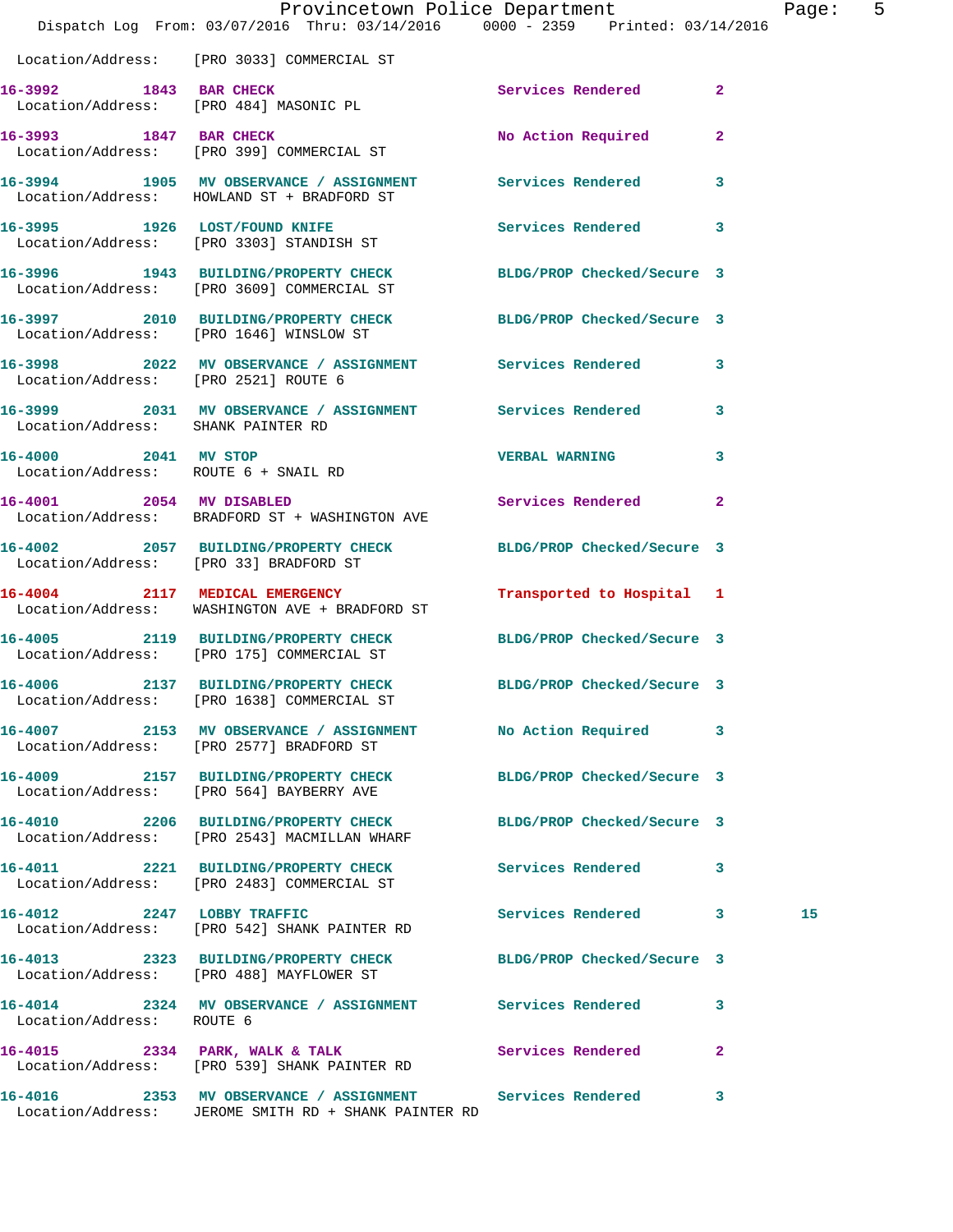|                                                              | Dispatch Log From: 03/07/2016 Thru: 03/14/2016 0000 - 2359 Printed: 03/14/2016                                      | Provincetown Police Department |              | Page: 5 |  |
|--------------------------------------------------------------|---------------------------------------------------------------------------------------------------------------------|--------------------------------|--------------|---------|--|
|                                                              | Location/Address: [PRO 3033] COMMERCIAL ST                                                                          |                                |              |         |  |
|                                                              | 16-3992 1843 BAR CHECK<br>Location/Address: [PRO 484] MASONIC PL                                                    | Services Rendered 2            |              |         |  |
|                                                              | 16-3993 1847 BAR CHECK<br>Location/Address: [PRO 399] COMMERCIAL ST                                                 | No Action Required             | $\mathbf{2}$ |         |  |
|                                                              | 16-3994 1905 MV OBSERVANCE / ASSIGNMENT Services Rendered 3<br>Location/Address: HOWLAND ST + BRADFORD ST           |                                |              |         |  |
|                                                              | 16-3995 1926 LOST/FOUND KNIFE<br>Location/Address: [PRO 3303] STANDISH ST                                           | Services Rendered 3            |              |         |  |
|                                                              | 16-3996 1943 BUILDING/PROPERTY CHECK BLDG/PROP Checked/Secure 3<br>Location/Address: [PRO 3609] COMMERCIAL ST       |                                |              |         |  |
|                                                              | 16-3997 2010 BUILDING/PROPERTY CHECK BLDG/PROP Checked/Secure 3<br>Location/Address: [PRO 1646] WINSLOW ST          |                                |              |         |  |
| Location/Address: [PRO 2521] ROUTE 6                         | 16-3998 2022 MV OBSERVANCE / ASSIGNMENT Services Rendered 3                                                         |                                |              |         |  |
| Location/Address: SHANK PAINTER RD                           | 16-3999 2031 MV OBSERVANCE / ASSIGNMENT Services Rendered 3                                                         |                                |              |         |  |
| 16-4000 2041 MV STOP<br>Location/Address: ROUTE 6 + SNAIL RD |                                                                                                                     | VERBAL WARNING 3               |              |         |  |
|                                                              | 16-4001 2054 MV DISABLED<br>Location/Address: BRADFORD ST + WASHINGTON AVE                                          | Services Rendered 2            |              |         |  |
| Location/Address: [PRO 33] BRADFORD ST                       | 16-4002 2057 BUILDING/PROPERTY CHECK BLDG/PROP Checked/Secure 3                                                     |                                |              |         |  |
|                                                              | 16-4004 2117 MEDICAL EMERGENCY<br>Location/Address: WASHINGTON AVE + BRADFORD ST                                    | Transported to Hospital 1      |              |         |  |
|                                                              | 16-4005 2119 BUILDING/PROPERTY CHECK BLDG/PROP Checked/Secure 3<br>Location/Address: [PRO 175] COMMERCIAL ST        |                                |              |         |  |
| 16-4006                                                      | 2137 BUILDING/PROPERTY CHECK BLDG/PROP Checked/Secure 3<br>Location/Address: [PRO 1638] COMMERCIAL ST               |                                |              |         |  |
|                                                              | 16-4007 2153 MV OBSERVANCE / ASSIGNMENT No Action Required 3<br>Location/Address: [PRO 2577] BRADFORD ST            |                                |              |         |  |
|                                                              | 16-4009 2157 BUILDING/PROPERTY CHECK<br>Location/Address: [PRO 564] BAYBERRY AVE                                    | BLDG/PROP Checked/Secure 3     |              |         |  |
|                                                              | 16-4010 2206 BUILDING/PROPERTY CHECK BLDG/PROP Checked/Secure 3<br>Location/Address: [PRO 2543] MACMILLAN WHARF     |                                |              |         |  |
|                                                              | 16-4011 2221 BUILDING/PROPERTY CHECK<br>Location/Address: [PRO 2483] COMMERCIAL ST                                  | Services Rendered 3            |              |         |  |
|                                                              | 16-4012 2247 LOBBY TRAFFIC<br>Location/Address: [PRO 542] SHANK PAINTER RD                                          | Services Rendered 3            |              | 15      |  |
|                                                              | 16-4013 2323 BUILDING/PROPERTY CHECK BLDG/PROP Checked/Secure 3<br>Location/Address: [PRO 488] MAYFLOWER ST         |                                |              |         |  |
| Location/Address: ROUTE 6                                    | 16-4014 2324 MV OBSERVANCE / ASSIGNMENT Services Rendered                                                           |                                | 3            |         |  |
|                                                              | 16-4015 2334 PARK, WALK & TALK 2008 Services Rendered<br>Location/Address: [PRO 539] SHANK PAINTER RD               |                                | $\mathbf{2}$ |         |  |
|                                                              | 16-4016 2353 MV OBSERVANCE / ASSIGNMENT Services Rendered 3<br>Location/Address: JEROME SMITH RD + SHANK PAINTER RD |                                |              |         |  |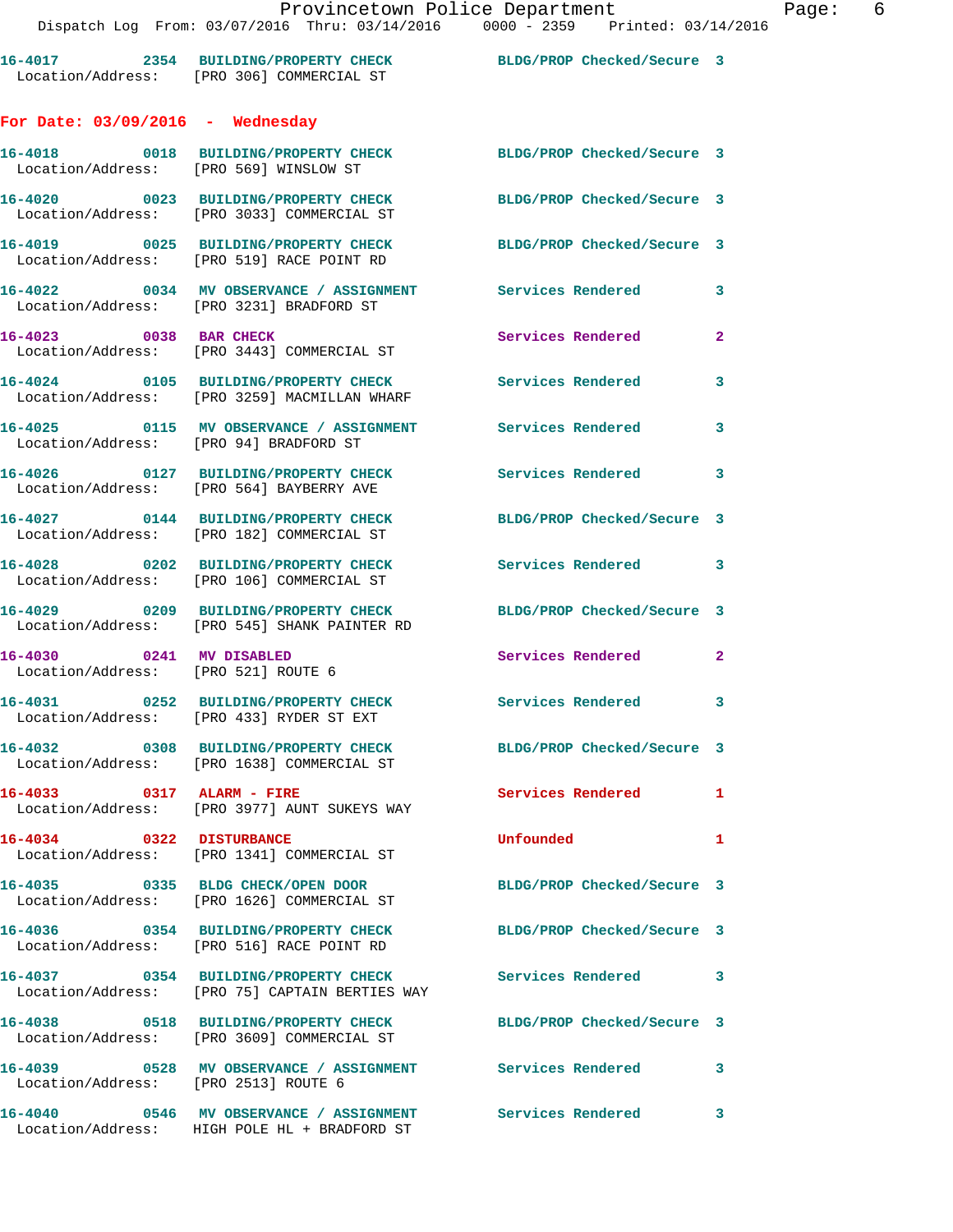|                                                                 | 16-4017 2354 BUILDING/PROPERTY CHECK<br>Location/Address: [PRO 306] COMMERCIAL ST                                             | BLDG/PROP Checked/Secure 3 |              |
|-----------------------------------------------------------------|-------------------------------------------------------------------------------------------------------------------------------|----------------------------|--------------|
| For Date: $03/09/2016$ - Wednesday                              |                                                                                                                               |                            |              |
| Location/Address: [PRO 569] WINSLOW ST                          | 16-4018 0018 BUILDING/PROPERTY CHECK                                                                                          | BLDG/PROP Checked/Secure 3 |              |
|                                                                 | 16-4020 0023 BUILDING/PROPERTY CHECK<br>Location/Address: [PRO 3033] COMMERCIAL ST                                            | BLDG/PROP Checked/Secure 3 |              |
|                                                                 | 16-4019 0025 BUILDING/PROPERTY CHECK<br>Location/Address: [PRO 519] RACE POINT RD                                             | BLDG/PROP Checked/Secure 3 |              |
|                                                                 | Location/Address: [PRO 3231] BRADFORD ST                                                                                      |                            | 3            |
| 16-4023 0038 BAR CHECK                                          | Location/Address: [PRO 3443] COMMERCIAL ST                                                                                    | Services Rendered          | $\mathbf{2}$ |
|                                                                 | 16-4024 0105 BUILDING/PROPERTY CHECK<br>Location/Address: [PRO 3259] MACMILLAN WHARF                                          | <b>Services Rendered</b>   | 3            |
| Location/Address: [PRO 94] BRADFORD ST                          | 16-4025   0115 MV OBSERVANCE / ASSIGNMENT   Services Rendered                                                                 |                            | 3            |
|                                                                 | 16-4026 0127 BUILDING/PROPERTY CHECK<br>Location/Address: [PRO 564] BAYBERRY AVE                                              | Services Rendered          | 3            |
|                                                                 | 16-4027 0144 BUILDING/PROPERTY CHECK<br>Location/Address: [PRO 182] COMMERCIAL ST                                             | BLDG/PROP Checked/Secure 3 |              |
|                                                                 | 16-4028 0202 BUILDING/PROPERTY CHECK<br>Location/Address: [PRO 106] COMMERCIAL ST                                             | <b>Services Rendered</b>   | $\mathbf{3}$ |
|                                                                 | 16-4029 0209 BUILDING/PROPERTY CHECK<br>Location/Address: [PRO 545] SHANK PAINTER RD                                          | BLDG/PROP Checked/Secure 3 |              |
| 16-4030 0241 MV DISABLED<br>Location/Address: [PRO 521] ROUTE 6 |                                                                                                                               | Services Rendered 2        |              |
|                                                                 | 16-4031 0252 BUILDING/PROPERTY CHECK<br>Location/Address: [PRO 433] RYDER ST EXT                                              | Services Rendered          | 3            |
|                                                                 | 16-4032 0308 BUILDING/PROPERTY CHECK<br>Location/Address: [PRO 1638] COMMERCIAL ST                                            | BLDG/PROP Checked/Secure 3 |              |
| 16-4033 0317 ALARM - FIRE                                       | Location/Address: [PRO 3977] AUNT SUKEYS WAY                                                                                  | Services Rendered 1        |              |
| 16-4034 0322 DISTURBANCE                                        | Location/Address: [PRO 1341] COMMERCIAL ST                                                                                    | Unfounded                  | $\mathbf{1}$ |
|                                                                 | 16-4035 0335 BLDG CHECK/OPEN DOOR<br>Location/Address: [PRO 1626] COMMERCIAL ST                                               | BLDG/PROP Checked/Secure 3 |              |
|                                                                 | 16-4036  0354 BUILDING/PROPERTY CHECK BLDG/PROP Checked/Secure 3<br>Location/Address: [PRO 516] RACE POINT RD                 |                            |              |
|                                                                 | 16-4037 0354 BUILDING/PROPERTY CHECK Services Rendered 3<br>Location/Address: [PRO 75] CAPTAIN BERTIES WAY                    |                            |              |
|                                                                 | 16-4038 0518 BUILDING/PROPERTY CHECK<br>Location/Address: [PRO 3609] COMMERCIAL ST                                            | BLDG/PROP Checked/Secure 3 |              |
| Location/Address: [PRO 2513] ROUTE 6                            |                                                                                                                               |                            |              |
|                                                                 | 16-4040       0546   MV OBSERVANCE / ASSIGNMENT      Services Rendered      3<br>Location/Address: HIGH POLE HL + BRADFORD ST |                            |              |
|                                                                 |                                                                                                                               |                            |              |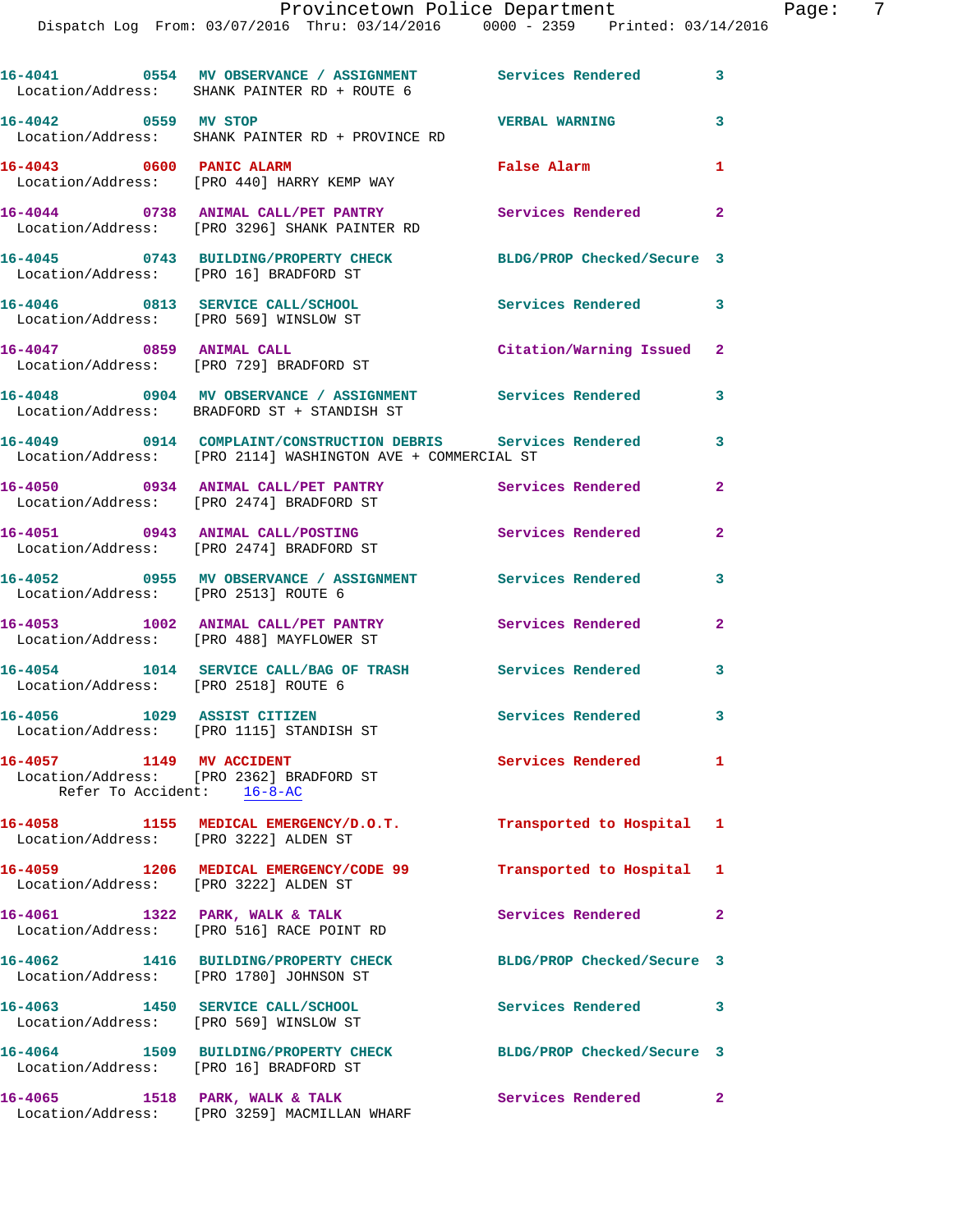**16-4042 0559 MV STOP VERBAL WARNING 3**  Location/Address: SHANK PAINTER RD + PROVINCE RD **16-4043 0600 PANIC ALARM False Alarm 1**  Location/Address: [PRO 440] HARRY KEMP WAY **16-4044 0738 ANIMAL CALL/PET PANTRY Services Rendered 2**  Location/Address: [PRO 3296] SHANK PAINTER RD **16-4045 0743 BUILDING/PROPERTY CHECK BLDG/PROP Checked/Secure 3**  Location/Address: [PRO 16] BRADFORD ST **16-4046 0813 SERVICE CALL/SCHOOL Services Rendered 3**  Location/Address: [PRO 569] WINSLOW ST **16-4047 0859 ANIMAL CALL Citation/Warning Issued 2**  Location/Address: [PRO 729] BRADFORD ST **16-4048 0904 MV OBSERVANCE / ASSIGNMENT Services Rendered 3**  Location/Address: BRADFORD ST + STANDISH ST **16-4049 0914 COMPLAINT/CONSTRUCTION DEBRIS Services Rendered 3**  Location/Address: [PRO 2114] WASHINGTON AVE + COMMERCIAL ST **16-4050 0934 ANIMAL CALL/PET PANTRY Services Rendered 2**  Location/Address: [PRO 2474] BRADFORD ST **16-4051 0943 ANIMAL CALL/POSTING Services Rendered 2**  Location/Address: [PRO 2474] BRADFORD ST **16-4052 0955 MV OBSERVANCE / ASSIGNMENT Services Rendered 3**  Location/Address: [PRO 2513] ROUTE 6 **16-4053 1002 ANIMAL CALL/PET PANTRY Services Rendered 2**  Location/Address: [PRO 488] MAYFLOWER ST **16-4054 1014 SERVICE CALL/BAG OF TRASH Services Rendered 3**  Location/Address: [PRO 2518] ROUTE 6 **16-4056 1029 ASSIST CITIZEN Services Rendered 3**  Location/Address: [PRO 1115] STANDISH ST **16-4057 1149 MV ACCIDENT Services Rendered 1**  Location/Address: [PRO 2362] BRADFORD ST Refer To Accident: 16-8-AC **16-4058 1155 MEDICAL EMERGENCY/D.O.T. Transported to Hospital 1**  Location/Address: [PRO 3222] ALDEN ST **16-4059 1206 MEDICAL EMERGENCY/CODE 99 Transported to Hospital 1** 

 Location/Address: [PRO 3222] ALDEN ST 16-4061 1322 PARK, WALK & TALK **Services Rendered** 2 Location/Address: [PRO 516] RACE POINT RD **16-4062 1416 BUILDING/PROPERTY CHECK BLDG/PROP Checked/Secure 3**  Location/Address: [PRO 1780] JOHNSON ST **16-4063 1450 SERVICE CALL/SCHOOL Services Rendered 3**  Location/Address: [PRO 569] WINSLOW ST **16-4064 1509 BUILDING/PROPERTY CHECK BLDG/PROP Checked/Secure 3**  Location/Address: [PRO 16] BRADFORD ST **16-4065 1518 PARK, WALK & TALK Services Rendered 2** 

Location/Address: [PRO 3259] MACMILLAN WHARF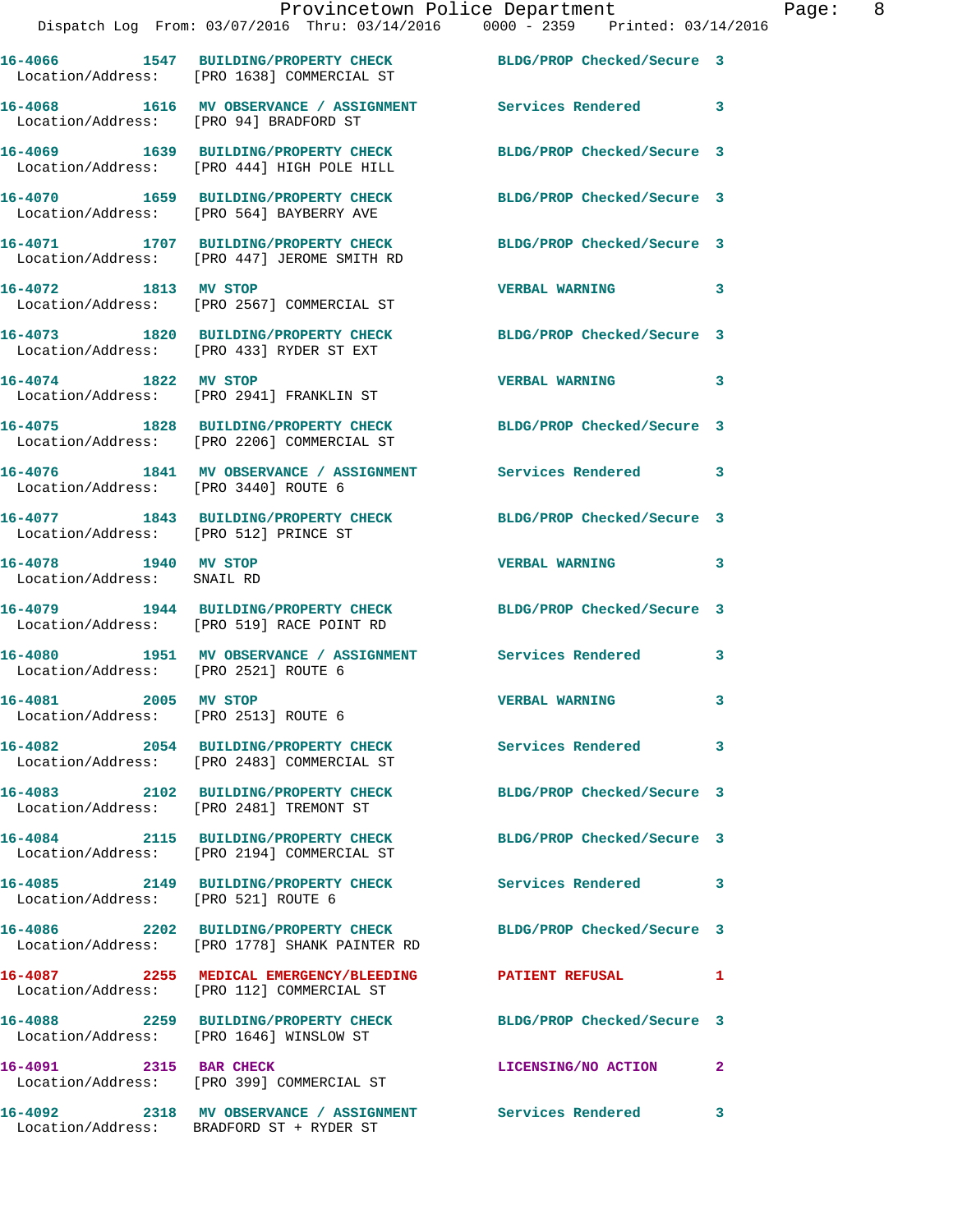|                                                              | Dispatch Log From: 03/07/2016 Thru: 03/14/2016 0000 - 2359 Printed: 03/14/2016                                 | Provincetown Police Department | Ρa |
|--------------------------------------------------------------|----------------------------------------------------------------------------------------------------------------|--------------------------------|----|
|                                                              | 16-4066 1547 BUILDING/PROPERTY CHECK BLDG/PROP Checked/Secure 3<br>Location/Address: [PRO 1638] COMMERCIAL ST  |                                |    |
|                                                              | 16-4068 1616 MV OBSERVANCE / ASSIGNMENT Services Rendered 3<br>Location/Address: [PRO 94] BRADFORD ST          |                                |    |
|                                                              | 16-4069 1639 BUILDING/PROPERTY CHECK BLDG/PROP Checked/Secure 3<br>Location/Address: [PRO 444] HIGH POLE HILL  |                                |    |
|                                                              | 16-4070 1659 BUILDING/PROPERTY CHECK BLDG/PROP Checked/Secure 3<br>Location/Address: [PRO 564] BAYBERRY AVE    |                                |    |
|                                                              | 16-4071 1707 BUILDING/PROPERTY CHECK BLDG/PROP Checked/Secure 3<br>Location/Address: [PRO 447] JEROME SMITH RD |                                |    |
| 16-4072 1813 MV STOP                                         | Location/Address: [PRO 2567] COMMERCIAL ST                                                                     | VERBAL WARNING 3               |    |
|                                                              | 16-4073 1820 BUILDING/PROPERTY CHECK BLDG/PROP Checked/Secure 3<br>Location/Address: [PRO 433] RYDER ST EXT    |                                |    |
| 16-4074 1822 MV STOP                                         | Location/Address: [PRO 2941] FRANKLIN ST                                                                       | <b>VERBAL WARNING</b>          | 3  |
|                                                              | 16-4075 1828 BUILDING/PROPERTY CHECK BLDG/PROP Checked/Secure 3<br>Location/Address: [PRO 2206] COMMERCIAL ST  |                                |    |
| Location/Address: [PRO 3440] ROUTE 6                         | 16-4076 1841 MV OBSERVANCE / ASSIGNMENT Services Rendered                                                      |                                | 3  |
| Location/Address: [PRO 512] PRINCE ST                        | 16-4077 1843 BUILDING/PROPERTY CHECK BLDG/PROP Checked/Secure 3                                                |                                |    |
| 16-4078 1940 MV STOP<br>Location/Address: SNAIL RD           |                                                                                                                | <b>VERBAL WARNING</b>          | 3  |
|                                                              | 16-4079 1944 BUILDING/PROPERTY CHECK BLDG/PROP Checked/Secure 3<br>Location/Address: [PRO 519] RACE POINT RD   |                                |    |
| Location/Address: [PRO 2521] ROUTE 6                         | 16-4080 1951 MV OBSERVANCE / ASSIGNMENT Services Rendered                                                      |                                | 3  |
| 16-4081 2005 MV STOP<br>Location/Address: [PRO 2513] ROUTE 6 |                                                                                                                | <b>VERBAL WARNING</b>          |    |
|                                                              | 16-4082 2054 BUILDING/PROPERTY CHECK<br>Location/Address: [PRO 2483] COMMERCIAL ST                             | Services Rendered              | 3  |
|                                                              | 16-4083 2102 BUILDING/PROPERTY CHECK<br>Location/Address: [PRO 2481] TREMONT ST                                | BLDG/PROP Checked/Secure 3     |    |
|                                                              | 16-4084 2115 BUILDING/PROPERTY CHECK<br>Location/Address: [PRO 2194] COMMERCIAL ST                             | BLDG/PROP Checked/Secure 3     |    |
| Location/Address: [PRO 521] ROUTE 6                          | 16-4085 2149 BUILDING/PROPERTY CHECK                                                                           | Services Rendered              | 3  |
|                                                              | 16-4086 2202 BUILDING/PROPERTY CHECK<br>Location/Address: [PRO 1778] SHANK PAINTER RD                          | BLDG/PROP Checked/Secure 3     |    |
|                                                              | 16-4087  2255 MEDICAL EMERGENCY/BLEEDING PATIENT REFUSAL<br>Location/Address: [PRO 112] COMMERCIAL ST          |                                | 1  |
| 16-4088                                                      | 2259 BUILDING/PROPERTY CHECK                                                                                   | BLDG/PROP Checked/Secure 3     |    |

Location/Address: [PRO 399] COMMERCIAL ST

Location/Address: BRADFORD ST + RYDER ST

Location/Address: [PRO 1646] WINSLOW ST

**16-4091 2315 BAR CHECK LICENSING/NO ACTION 2** 

**16-4092 2318 MV OBSERVANCE / ASSIGNMENT Services Rendered 3** 

age: 8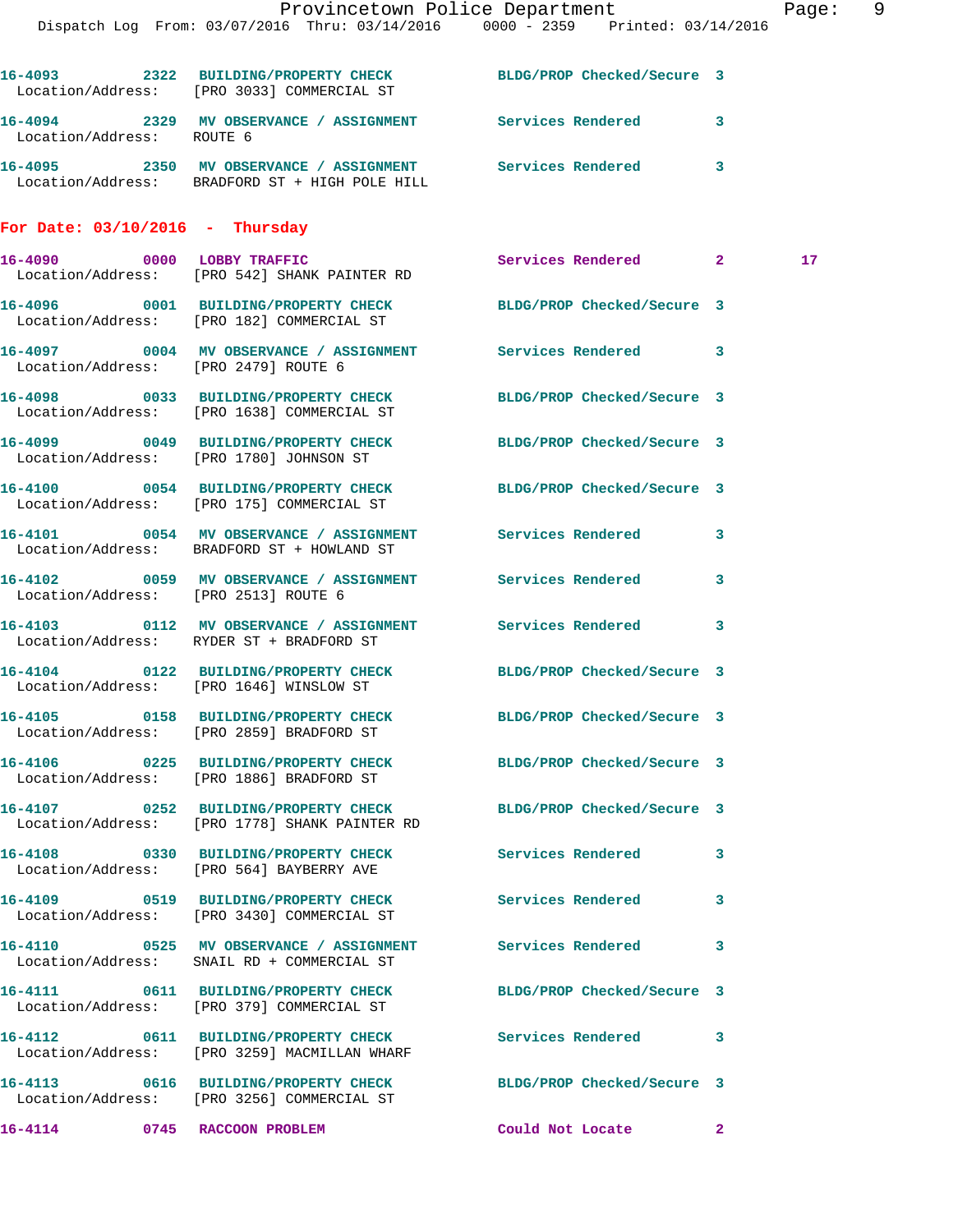|                                      | Dispatch Log From: 03/07/2016 Thru: 03/14/2016 0000 - 2359 Printed: 03/14/2016                                   | Provincetown Police Department |                         | Page: 9 |  |
|--------------------------------------|------------------------------------------------------------------------------------------------------------------|--------------------------------|-------------------------|---------|--|
|                                      | 16-4093 2322 BUILDING/PROPERTY CHECK BLDG/PROP Checked/Secure 3<br>Location/Address: [PRO 3033] COMMERCIAL ST    |                                |                         |         |  |
| Location/Address: ROUTE 6            | 16-4094 2329 MV OBSERVANCE / ASSIGNMENT Services Rendered                                                        |                                | $\overline{\mathbf{3}}$ |         |  |
|                                      | 16-4095 2350 MV OBSERVANCE / ASSIGNMENT Services Rendered 3<br>Location/Address: BRADFORD ST + HIGH POLE HILL    |                                |                         |         |  |
| For Date: $03/10/2016$ - Thursday    |                                                                                                                  |                                |                         |         |  |
|                                      | 16-4090 0000 LOBBY TRAFFIC<br>Location/Address: [PRO 542] SHANK PAINTER RD                                       | Services Rendered 2            |                         | 17      |  |
|                                      | 16-4096 0001 BUILDING/PROPERTY CHECK BLDG/PROP Checked/Secure 3<br>Location/Address: [PRO 182] COMMERCIAL ST     |                                |                         |         |  |
| Location/Address: [PRO 2479] ROUTE 6 | 16-4097 0004 MV OBSERVANCE / ASSIGNMENT Services Rendered 3                                                      |                                |                         |         |  |
|                                      | 16-4098 0033 BUILDING/PROPERTY CHECK<br>Location/Address: [PRO 1638] COMMERCIAL ST                               | BLDG/PROP Checked/Secure 3     |                         |         |  |
|                                      | 16-4099 0049 BUILDING/PROPERTY CHECK BLDG/PROP Checked/Secure 3<br>Location/Address: [PRO 1780] JOHNSON ST       |                                |                         |         |  |
|                                      | 16-4100 0054 BUILDING/PROPERTY CHECK BLDG/PROP Checked/Secure 3<br>Location/Address: [PRO 175] COMMERCIAL ST     |                                |                         |         |  |
|                                      | 16-4101 0054 MV OBSERVANCE / ASSIGNMENT Services Rendered 3<br>Location/Address: BRADFORD ST + HOWLAND ST        |                                |                         |         |  |
|                                      | 16-4102 0059 MV OBSERVANCE / ASSIGNMENT Services Rendered<br>Location/Address: [PRO 2513] ROUTE 6                |                                | $\overline{\mathbf{3}}$ |         |  |
|                                      | 16-4103 0112 MV OBSERVANCE / ASSIGNMENT Services Rendered<br>Location/Address: RYDER ST + BRADFORD ST            |                                | 3                       |         |  |
|                                      | 16-4104 0122 BUILDING/PROPERTY CHECK BLDG/PROP Checked/Secure 3<br>Location/Address: [PRO 1646] WINSLOW ST       |                                |                         |         |  |
|                                      | 16-4105 0158 BUILDING/PROPERTY CHECK BLDG/PROP Checked/Secure 3<br>Location/Address: [PRO 2859] BRADFORD ST      |                                |                         |         |  |
|                                      | 16-4106 0225 BUILDING/PROPERTY CHECK BLDG/PROP Checked/Secure 3<br>Location/Address: [PRO 1886] BRADFORD ST      |                                |                         |         |  |
|                                      | 16-4107 0252 BUILDING/PROPERTY CHECK BLDG/PROP Checked/Secure 3<br>Location/Address: [PRO 1778] SHANK PAINTER RD |                                |                         |         |  |
|                                      | 16-4108 0330 BUILDING/PROPERTY CHECK<br>Location/Address: [PRO 564] BAYBERRY AVE                                 | Services Rendered              | 3                       |         |  |
|                                      | 16-4109 0519 BUILDING/PROPERTY CHECK<br>Location/Address: [PRO 3430] COMMERCIAL ST                               | <b>Services Rendered</b>       | 3                       |         |  |
|                                      | 16-4110 0525 MV OBSERVANCE / ASSIGNMENT Services Rendered<br>Location/Address: SNAIL RD + COMMERCIAL ST          |                                | 3                       |         |  |
|                                      | 16-4111 0611 BUILDING/PROPERTY CHECK BLDG/PROP Checked/Secure 3<br>Location/Address: [PRO 379] COMMERCIAL ST     |                                |                         |         |  |
|                                      | 16-4112 0611 BUILDING/PROPERTY CHECK<br>Location/Address: [PRO 3259] MACMILLAN WHARF                             | Services Rendered 3            |                         |         |  |
|                                      | 16-4113 0616 BUILDING/PROPERTY CHECK BLDG/PROP Checked/Secure 3<br>Location/Address: [PRO 3256] COMMERCIAL ST    |                                |                         |         |  |
|                                      | 16-4114 0745 RACCOON PROBLEM                                                                                     | Could Not Locate 2             |                         |         |  |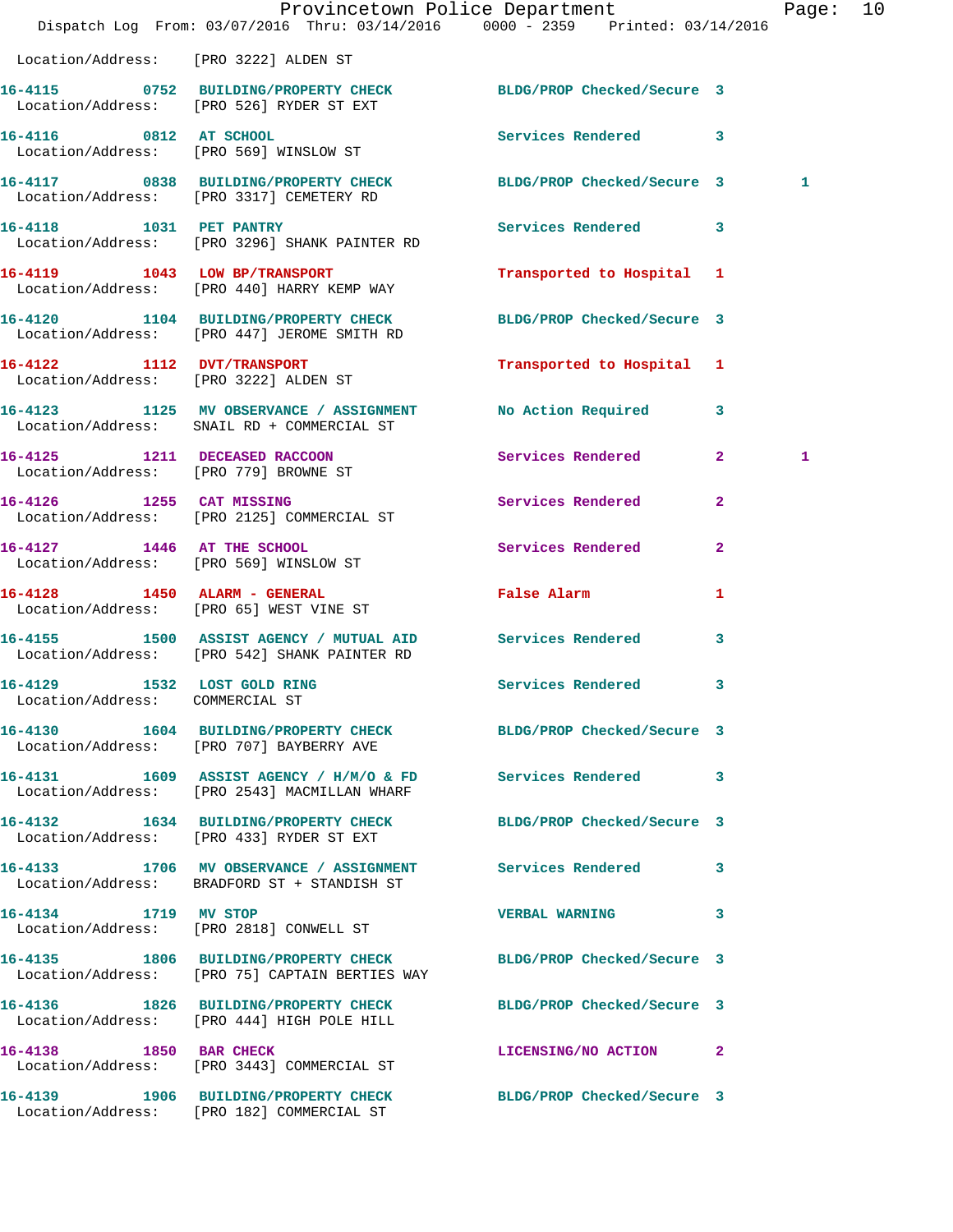|                                                                | Dispatch Log From: 03/07/2016 Thru: 03/14/2016 0000 - 2359 Printed: 03/14/2016                                    | Provincetown Police Department              |              | Page: 10 |  |
|----------------------------------------------------------------|-------------------------------------------------------------------------------------------------------------------|---------------------------------------------|--------------|----------|--|
| Location/Address: [PRO 3222] ALDEN ST                          |                                                                                                                   |                                             |              |          |  |
|                                                                | 16-4115 0752 BUILDING/PROPERTY CHECK BLDG/PROP Checked/Secure 3<br>Location/Address: [PRO 526] RYDER ST EXT       |                                             |              |          |  |
| 16-4116 0812 AT SCHOOL                                         | Location/Address: [PRO 569] WINSLOW ST                                                                            | Services Rendered 3                         |              |          |  |
|                                                                | 16-4117 0838 BUILDING/PROPERTY CHECK BLDG/PROP Checked/Secure 3<br>Location/Address: [PRO 3317] CEMETERY RD       |                                             |              | 1        |  |
|                                                                | 16-4118 1031 PET PANTRY<br>Location/Address: [PRO 3296] SHANK PAINTER RD                                          | Services Rendered 3                         |              |          |  |
|                                                                | 16-4119 1043 LOW BP/TRANSPORT<br>Location/Address: [PRO 440] HARRY KEMP WAY                                       | Transported to Hospital 1                   |              |          |  |
|                                                                | 16-4120 1104 BUILDING/PROPERTY CHECK<br>Location/Address: [PRO 447] JEROME SMITH RD                               | BLDG/PROP Checked/Secure 3                  |              |          |  |
| 16-4122 1112 DVT/TRANSPORT                                     | Location/Address: [PRO 3222] ALDEN ST                                                                             | Transported to Hospital 1                   |              |          |  |
|                                                                | 16-4123 1125 MV OBSERVANCE / ASSIGNMENT<br>Location/Address: SNAIL RD + COMMERCIAL ST                             | No Action Required 3                        |              |          |  |
| Location/Address: [PRO 779] BROWNE ST                          | 16-4125 1211 DECEASED RACCOON                                                                                     | Services Rendered 2                         |              | 1        |  |
|                                                                | 16-4126 1255 CAT MISSING<br>Location/Address: [PRO 2125] COMMERCIAL ST                                            | Services Rendered                           | $\mathbf{2}$ |          |  |
| Location/Address: [PRO 569] WINSLOW ST                         | 16-4127 1446 AT THE SCHOOL                                                                                        | Services Rendered                           | $\mathbf{2}$ |          |  |
|                                                                | 16-4128 1450 ALARM - GENERAL<br>Location/Address: [PRO 65] WEST VINE ST                                           | False Alarm <b>Exercise Service Service</b> | 1            |          |  |
|                                                                | 16-4155 1500 ASSIST AGENCY / MUTUAL AID Services Rendered<br>Location/Address: [PRO 542] SHANK PAINTER RD         |                                             | 3            |          |  |
| 16-4129 1532 LOST GOLD RING<br>Location/Address: COMMERCIAL ST |                                                                                                                   | Services Rendered 3                         |              |          |  |
|                                                                | 16-4130 1604 BUILDING/PROPERTY CHECK BLDG/PROP Checked/Secure 3<br>Location/Address: [PRO 707] BAYBERRY AVE       |                                             |              |          |  |
|                                                                | 16-4131 1609 ASSIST AGENCY / H/M/O & FD Services Rendered 3<br>Location/Address: [PRO 2543] MACMILLAN WHARF       |                                             |              |          |  |
|                                                                | 16-4132 1634 BUILDING/PROPERTY CHECK BLDG/PROP Checked/Secure 3<br>Location/Address: [PRO 433] RYDER ST EXT       |                                             |              |          |  |
|                                                                | 16-4133 1706 MV OBSERVANCE / ASSIGNMENT Services Rendered 3<br>Location/Address: BRADFORD ST + STANDISH ST        |                                             |              |          |  |
| 16-4134 1719 MV STOP                                           | Location/Address: [PRO 2818] CONWELL ST                                                                           | <b>VERBAL WARNING</b>                       | 3            |          |  |
|                                                                | 16-4135 1806 BUILDING/PROPERTY CHECK BLDG/PROP Checked/Secure 3<br>Location/Address: [PRO 75] CAPTAIN BERTIES WAY |                                             |              |          |  |
|                                                                | 16-4136 1826 BUILDING/PROPERTY CHECK<br>Location/Address: [PRO 444] HIGH POLE HILL                                | BLDG/PROP Checked/Secure 3                  |              |          |  |
| 16-4138 1850 BAR CHECK                                         | Location/Address: [PRO 3443] COMMERCIAL ST                                                                        | LICENSING/NO ACTION 2                       |              |          |  |
|                                                                | 16-4139 1906 BUILDING/PROPERTY CHECK BLDG/PROP Checked/Secure 3<br>Location/Address: [PRO 182] COMMERCIAL ST      |                                             |              |          |  |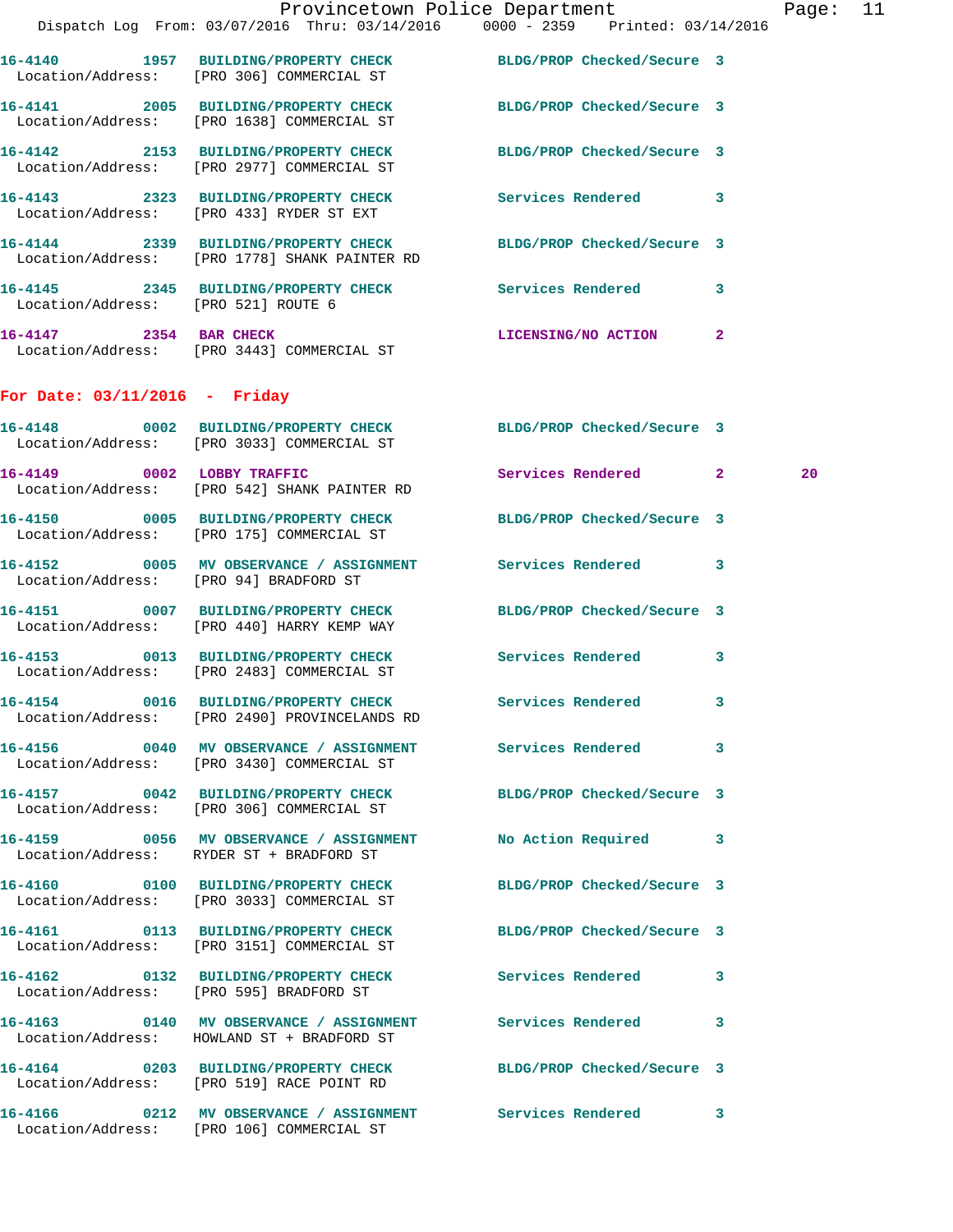|                                     |                                                                                                                  | Provincetown Police Department                                                 | Page: 11 |
|-------------------------------------|------------------------------------------------------------------------------------------------------------------|--------------------------------------------------------------------------------|----------|
|                                     |                                                                                                                  | Dispatch Log From: 03/07/2016 Thru: 03/14/2016 0000 - 2359 Printed: 03/14/2016 |          |
|                                     | 16-4140 1957 BUILDING/PROPERTY CHECK BLDG/PROP Checked/Secure 3<br>Location/Address: [PRO 306] COMMERCIAL ST     |                                                                                |          |
|                                     | Location/Address: [PRO 1638] COMMERCIAL ST                                                                       | BLDG/PROP Checked/Secure 3                                                     |          |
|                                     | 16-4142 2153 BUILDING/PROPERTY CHECK<br>Location/Address: [PRO 2977] COMMERCIAL ST                               | BLDG/PROP Checked/Secure 3                                                     |          |
|                                     | Location/Address: [PRO 433] RYDER ST EXT                                                                         | <b>Services Rendered</b><br>3                                                  |          |
|                                     | 16-4144 2339 BUILDING/PROPERTY CHECK BLDG/PROP Checked/Secure 3<br>Location/Address: [PRO 1778] SHANK PAINTER RD |                                                                                |          |
| Location/Address: [PRO 521] ROUTE 6 | 16-4145 2345 BUILDING/PROPERTY CHECK                                                                             | <b>Services Rendered</b><br>3                                                  |          |
| 16-4147                             | 2354 BAR CHECK                                                                                                   | $\mathbf{2}$<br>LICENSING/NO ACTION                                            |          |

## **For Date: 03/11/2016 - Friday**

Location/Address: [PRO 3443] COMMERCIAL ST

| 16-4148 0002 BUILDING/PROPERTY CHECK BLDG/PROP Checked/Secure 3<br>Location/Address: [PRO 3033] COMMERCIAL ST |                     |   |    |
|---------------------------------------------------------------------------------------------------------------|---------------------|---|----|
| 16-4149 0002 LOBBY TRAFFIC<br>Location/Address: [PRO 542] SHANK PAINTER RD                                    | Services Rendered 2 |   | 20 |
| 16-4150 0005 BUILDING/PROPERTY CHECK BLDG/PROP Checked/Secure 3<br>Location/Address: [PRO 175] COMMERCIAL ST  |                     |   |    |
| 16-4152 0005 MV OBSERVANCE / ASSIGNMENT Services Rendered 3<br>Location/Address: [PRO 94] BRADFORD ST         |                     |   |    |
| 16-4151 0007 BUILDING/PROPERTY CHECK BLDG/PROP Checked/Secure 3<br>Location/Address: [PRO 440] HARRY KEMP WAY |                     |   |    |
| 16-4153 0013 BUILDING/PROPERTY CHECK Services Rendered<br>Location/Address: [PRO 2483] COMMERCIAL ST          |                     | 3 |    |
| 16-4154 0016 BUILDING/PROPERTY CHECK Services Rendered<br>Location/Address: [PRO 2490] PROVINCELANDS RD       |                     | 3 |    |
| 16-4156 0040 MV OBSERVANCE / ASSIGNMENT Services Rendered<br>Location/Address: [PRO 3430] COMMERCIAL ST       |                     | 3 |    |
| 16-4157 0042 BUILDING/PROPERTY CHECK BLDG/PROP Checked/Secure 3<br>Location/Address: [PRO 306] COMMERCIAL ST  |                     |   |    |
| 16-4159 0056 MV OBSERVANCE / ASSIGNMENT No Action Required 3<br>Location/Address: RYDER ST + BRADFORD ST      |                     |   |    |
| 16-4160 0100 BUILDING/PROPERTY CHECK BLDG/PROP Checked/Secure 3<br>Location/Address: [PRO 3033] COMMERCIAL ST |                     |   |    |
| 16-4161 0113 BUILDING/PROPERTY CHECK BLDG/PROP Checked/Secure 3<br>Location/Address: [PRO 3151] COMMERCIAL ST |                     |   |    |
| 16-4162 0132 BUILDING/PROPERTY CHECK Services Rendered 3<br>Location/Address: [PRO 595] BRADFORD ST           |                     |   |    |
| 16-4163 0140 MV OBSERVANCE / ASSIGNMENT Services Rendered<br>Location/Address: HOWLAND ST + BRADFORD ST       |                     | 3 |    |
| 16-4164 0203 BUILDING/PROPERTY CHECK BLDG/PROP Checked/Secure 3<br>Location/Address: [PRO 519] RACE POINT RD  |                     |   |    |
| 16-4166 0212 MV OBSERVANCE / ASSIGNMENT Services Rendered<br>Location/Address: [PRO 106] COMMERCIAL ST        |                     | 3 |    |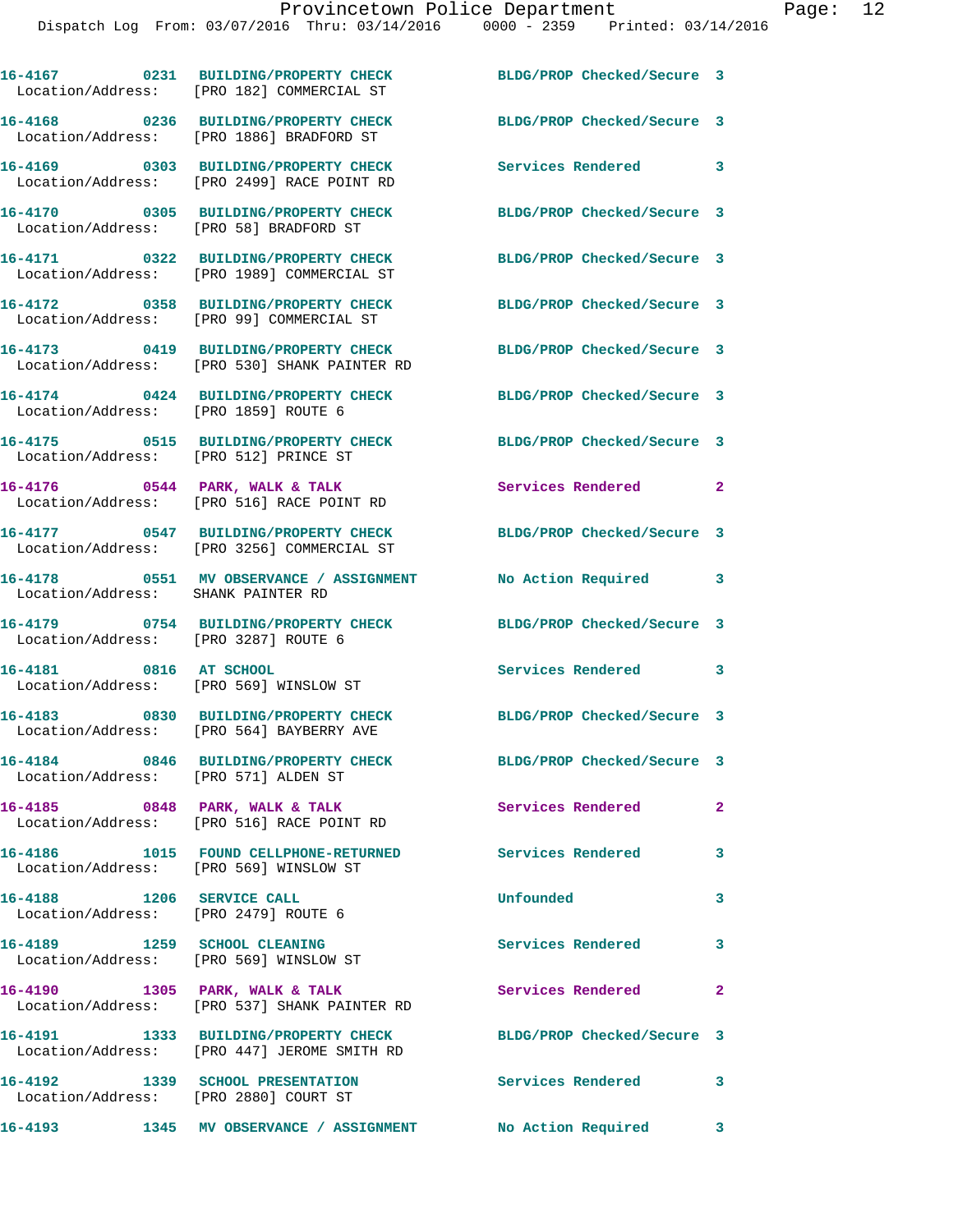|                                                                        | 16-4167 0231 BUILDING/PROPERTY CHECK<br>Location/Address: [PRO 182] COMMERCIAL ST    | BLDG/PROP Checked/Secure 3 |                            |
|------------------------------------------------------------------------|--------------------------------------------------------------------------------------|----------------------------|----------------------------|
|                                                                        | 16-4168 0236 BUILDING/PROPERTY CHECK<br>Location/Address: [PRO 1886] BRADFORD ST     | BLDG/PROP Checked/Secure 3 |                            |
|                                                                        | 16-4169 0303 BUILDING/PROPERTY CHECK<br>Location/Address: [PRO 2499] RACE POINT RD   | Services Rendered 3        |                            |
| Location/Address: [PRO 58] BRADFORD ST                                 | 16-4170 0305 BUILDING/PROPERTY CHECK                                                 | BLDG/PROP Checked/Secure 3 |                            |
|                                                                        | 16-4171 0322 BUILDING/PROPERTY CHECK<br>Location/Address: [PRO 1989] COMMERCIAL ST   | BLDG/PROP Checked/Secure 3 |                            |
|                                                                        | 16-4172 0358 BUILDING/PROPERTY CHECK<br>Location/Address: [PRO 99] COMMERCIAL ST     | BLDG/PROP Checked/Secure 3 |                            |
|                                                                        | 16-4173 0419 BUILDING/PROPERTY CHECK<br>Location/Address: [PRO 530] SHANK PAINTER RD | BLDG/PROP Checked/Secure 3 |                            |
| Location/Address: [PRO 1859] ROUTE 6                                   | 16-4174 0424 BUILDING/PROPERTY CHECK                                                 | BLDG/PROP Checked/Secure 3 |                            |
| Location/Address: [PRO 512] PRINCE ST                                  | 16-4175 0515 BUILDING/PROPERTY CHECK                                                 | BLDG/PROP Checked/Secure 3 |                            |
|                                                                        | $16-4176$ 0544 PARK, WALK & TALK<br>Location/Address: [PRO 516] RACE POINT RD        | Services Rendered          | $\overline{\phantom{0}}$ 2 |
|                                                                        | 16-4177 0547 BUILDING/PROPERTY CHECK<br>Location/Address: [PRO 3256] COMMERCIAL ST   | BLDG/PROP Checked/Secure 3 |                            |
| Location/Address: SHANK PAINTER RD                                     | 16-4178 0551 MV OBSERVANCE / ASSIGNMENT                                              | No Action Required         | $\overline{\phantom{a}}$ 3 |
| Location/Address: [PRO 3287] ROUTE 6                                   | 16-4179 0754 BUILDING/PROPERTY CHECK                                                 | BLDG/PROP Checked/Secure 3 |                            |
| 16-4181 0816 AT SCHOOL                                                 | Location/Address: [PRO 569] WINSLOW ST                                               | Services Rendered          | 3                          |
|                                                                        | 16-4183 0830 BUILDING/PROPERTY CHECK<br>Location/Address: [PRO 564] BAYBERRY AVE     | BLDG/PROP Checked/Secure 3 |                            |
| Location/Address: [PRO 571] ALDEN ST                                   | 16-4184 0846 BUILDING/PROPERTY CHECK                                                 | BLDG/PROP Checked/Secure 3 |                            |
|                                                                        | 16-4185 0848 PARK, WALK & TALK<br>Location/Address: [PRO 516] RACE POINT RD          | Services Rendered          | $\mathbf{2}$               |
| Location/Address: [PRO 569] WINSLOW ST                                 | 16-4186 1015 FOUND CELLPHONE-RETURNED                                                | Services Rendered          | 3                          |
| 16-4188    1206 SERVICE CALL<br>Location/Address: [PRO 2479] ROUTE 6   |                                                                                      | Unfounded                  | 3                          |
| 16-4189 1259 SCHOOL CLEANING<br>Location/Address: [PRO 569] WINSLOW ST |                                                                                      | Services Rendered          | 3                          |
|                                                                        | 16-4190 1305 PARK, WALK & TALK<br>Location/Address: [PRO 537] SHANK PAINTER RD       | Services Rendered          | $\mathbf{2}$               |
|                                                                        | 16-4191 1333 BUILDING/PROPERTY CHECK<br>Location/Address: [PRO 447] JEROME SMITH RD  | BLDG/PROP Checked/Secure 3 |                            |
| 16-4192 1339 SCHOOL PRESENTATION                                       | Location/Address: [PRO 2880] COURT ST                                                | Services Rendered 3        |                            |

**16-4193 1345 MV OBSERVANCE / ASSIGNMENT No Action Required 3**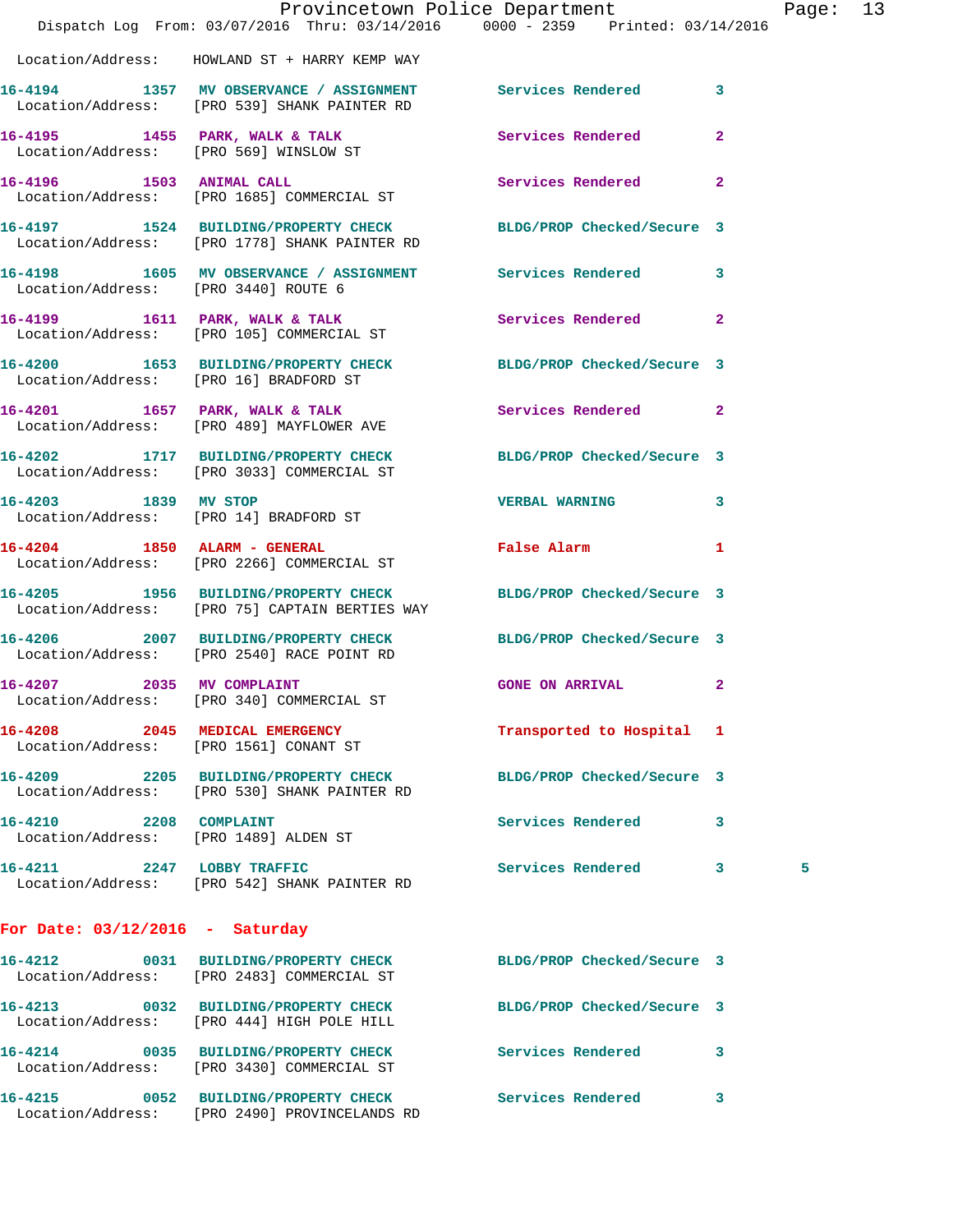|                                                                 | Provincetown Police Department The Rage: 13<br>Dispatch Log From: 03/07/2016 Thru: 03/14/2016 0000 - 2359 Printed: 03/14/2016 |                            |              |   |  |
|-----------------------------------------------------------------|-------------------------------------------------------------------------------------------------------------------------------|----------------------------|--------------|---|--|
|                                                                 | Location/Address: HOWLAND ST + HARRY KEMP WAY                                                                                 |                            |              |   |  |
|                                                                 | 16-4194 1357 MV OBSERVANCE / ASSIGNMENT Services Rendered 3<br>Location/Address: [PRO 539] SHANK PAINTER RD                   |                            |              |   |  |
|                                                                 | 16-4195 1455 PARK, WALK & TALK Services Rendered 2<br>Location/Address: [PRO 569] WINSLOW ST                                  |                            |              |   |  |
|                                                                 | 16-4196 1503 ANIMAL CALL<br>Location/Address: [PRO 1685] COMMERCIAL ST                                                        | Services Rendered 2        |              |   |  |
|                                                                 | 16-4197 1524 BUILDING/PROPERTY CHECK BLDG/PROP Checked/Secure 3<br>Location/Address: [PRO 1778] SHANK PAINTER RD              |                            |              |   |  |
| Location/Address: [PRO 3440] ROUTE 6                            | 16-4198 1605 MV OBSERVANCE / ASSIGNMENT Services Rendered 3                                                                   |                            |              |   |  |
|                                                                 | 16-4199 1611 PARK, WALK & TALK 1998 Services Rendered 2<br>Location/Address: [PRO 105] COMMERCIAL ST                          |                            |              |   |  |
|                                                                 | 16-4200 1653 BUILDING/PROPERTY CHECK BLDG/PROP Checked/Secure 3<br>Location/Address: [PRO 16] BRADFORD ST                     |                            |              |   |  |
|                                                                 | 16-4201 1657 PARK, WALK & TALK 3 Services Rendered 2<br>Location/Address: [PRO 489] MAYFLOWER AVE                             |                            |              |   |  |
|                                                                 | 16-4202 1717 BUILDING/PROPERTY CHECK BLDG/PROP Checked/Secure 3<br>Location/Address: [PRO 3033] COMMERCIAL ST                 |                            |              |   |  |
|                                                                 | 16-4203 1839 MV STOP<br>Location/Address: [PRO 14] BRADFORD ST                                                                | <b>VERBAL WARNING</b>      | 3            |   |  |
|                                                                 | 16-4204 1850 ALARM - GENERAL<br>Location/Address: [PRO 2266] COMMERCIAL ST                                                    | False Alarm 1              |              |   |  |
|                                                                 | 16-4205 1956 BUILDING/PROPERTY CHECK BLDG/PROP Checked/Secure 3<br>Location/Address: [PRO 75] CAPTAIN BERTIES WAY             |                            |              |   |  |
|                                                                 | 16-4206 2007 BUILDING/PROPERTY CHECK BLDG/PROP Checked/Secure 3<br>Location/Address: [PRO 2540] RACE POINT RD                 |                            |              |   |  |
| 16-4207 2035 MV COMPLAINT                                       | Location/Address: [PRO 340] COMMERCIAL ST                                                                                     | <b>GONE ON ARRIVAL</b>     | $\mathbf{2}$ |   |  |
| 16-4208 2045 MEDICAL EMERGENCY                                  | Location/Address: [PRO 1561] CONANT ST                                                                                        | Transported to Hospital 1  |              |   |  |
|                                                                 | 16-4209 2205 BUILDING/PROPERTY CHECK<br>Location/Address: [PRO 530] SHANK PAINTER RD                                          | BLDG/PROP Checked/Secure 3 |              |   |  |
| 16-4210 2208 COMPLAINT<br>Location/Address: [PRO 1489] ALDEN ST |                                                                                                                               | Services Rendered          | 3            |   |  |
|                                                                 | 16-4211 2247 LOBBY TRAFFIC<br>Location/Address: [PRO 542] SHANK PAINTER RD                                                    | Services Rendered 3        |              | 5 |  |
| For Date: $03/12/2016$ - Saturday                               |                                                                                                                               |                            |              |   |  |
|                                                                 | 16-4212 0031 BUILDING/PROPERTY CHECK<br>Location/Address: [PRO 2483] COMMERCIAL ST                                            | BLDG/PROP Checked/Secure 3 |              |   |  |
|                                                                 | 16-4213 0032 BUILDING/PROPERTY CHECK BLDG/PROP Checked/Secure 3<br>Location/Address: [PRO 444] HIGH POLE HILL                 |                            |              |   |  |
|                                                                 | 16-4214 0035 BUILDING/PROPERTY CHECK Services Rendered<br>Location/Address: [PRO 3430] COMMERCIAL ST                          |                            | 3            |   |  |

**16-4215 0052 BUILDING/PROPERTY CHECK Services Rendered 3**  Location/Address: [PRO 2490] PROVINCELANDS RD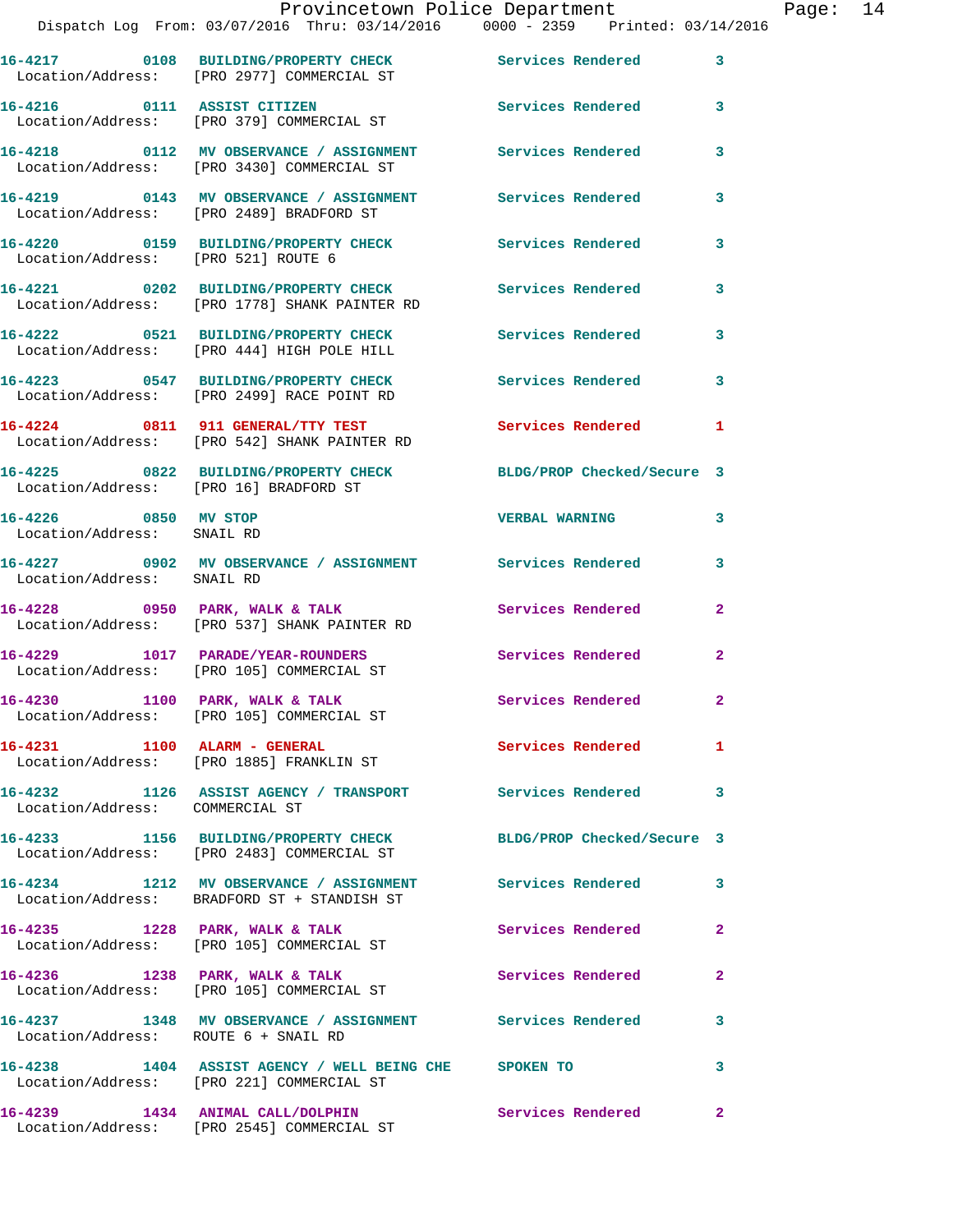|                                                    | Dispatch Log From: 03/07/2016 Thru: 03/14/2016 0000 - 2359 Printed: 03/14/2016                                |                          |              |
|----------------------------------------------------|---------------------------------------------------------------------------------------------------------------|--------------------------|--------------|
|                                                    | 16-4217 0108 BUILDING/PROPERTY CHECK<br>Location/Address: [PRO 2977] COMMERCIAL ST                            | Services Rendered        | 3            |
|                                                    | 16-4216 0111 ASSIST CITIZEN<br>Location/Address: [PRO 379] COMMERCIAL ST                                      | Services Rendered        | 3            |
|                                                    | 16-4218 		 0112 MV OBSERVANCE / ASSIGNMENT Services Rendered<br>Location/Address: [PRO 3430] COMMERCIAL ST    |                          | 3            |
|                                                    | 16-4219 		 0143 MV OBSERVANCE / ASSIGNMENT Services Rendered<br>Location/Address: [PRO 2489] BRADFORD ST      |                          | 3            |
| Location/Address: [PRO 521] ROUTE 6                | 16-4220 0159 BUILDING/PROPERTY CHECK                                                                          | <b>Services Rendered</b> | 3            |
|                                                    | 16-4221 0202 BUILDING/PROPERTY CHECK<br>Location/Address: [PRO 1778] SHANK PAINTER RD                         | <b>Services Rendered</b> | 3            |
|                                                    | 16-4222 0521 BUILDING/PROPERTY CHECK Services Rendered<br>Location/Address: [PRO 444] HIGH POLE HILL          |                          | 3            |
|                                                    | 16-4223 0547 BUILDING/PROPERTY CHECK<br>Location/Address: [PRO 2499] RACE POINT RD                            | <b>Services Rendered</b> | 3            |
|                                                    | 16-4224 0811 911 GENERAL/TTY TEST Services Rendered<br>Location/Address: [PRO 542] SHANK PAINTER RD           |                          | 1            |
| Location/Address: [PRO 16] BRADFORD ST             | 16-4225 0822 BUILDING/PROPERTY CHECK BLDG/PROP Checked/Secure 3                                               |                          |              |
| 16-4226 0850 MV STOP<br>Location/Address: SNAIL RD |                                                                                                               | <b>VERBAL WARNING</b>    | 3            |
| Location/Address: SNAIL RD                         | 16-4227 0902 MV OBSERVANCE / ASSIGNMENT Services Rendered                                                     |                          | 3            |
|                                                    | 16-4228 0950 PARK, WALK & TALK<br>Location/Address: [PRO 537] SHANK PAINTER RD                                | <b>Services Rendered</b> | $\mathbf{2}$ |
|                                                    | 16-4229 1017 PARADE/YEAR-ROUNDERS<br>Location/Address: [PRO 105] COMMERCIAL ST                                | <b>Services Rendered</b> | $\mathbf{2}$ |
|                                                    | $16-4230$ 1100 PARK, WALK & TALK<br>Location/Address: [PRO 105] COMMERCIAL ST                                 | <b>Services Rendered</b> | $\mathbf{2}$ |
|                                                    | 16-4231 1100 ALARM - GENERAL<br>Location/Address: [PRO 1885] FRANKLIN ST                                      | Services Rendered        | 1            |
| Location/Address: COMMERCIAL ST                    | 16-4232 1126 ASSIST AGENCY / TRANSPORT Services Rendered                                                      |                          | 3            |
|                                                    | 16-4233 1156 BUILDING/PROPERTY CHECK BLDG/PROP Checked/Secure 3<br>Location/Address: [PRO 2483] COMMERCIAL ST |                          |              |
|                                                    | 16-4234 1212 MV OBSERVANCE / ASSIGNMENT Services Rendered<br>Location/Address: BRADFORD ST + STANDISH ST      |                          | 3            |
|                                                    | 16-4235 1228 PARK, WALK & TALK<br>Location/Address: [PRO 105] COMMERCIAL ST                                   | Services Rendered        | 2            |
|                                                    | 16-4236 1238 PARK, WALK & TALK<br>Location/Address: [PRO 105] COMMERCIAL ST                                   | Services Rendered        | 2            |
| Location/Address: ROUTE 6 + SNAIL RD               | 16-4237 1348 MV OBSERVANCE / ASSIGNMENT Services Rendered                                                     |                          | 3            |
|                                                    | 16-4238 1404 ASSIST AGENCY / WELL BEING CHE SPOKEN TO<br>Location/Address: [PRO 221] COMMERCIAL ST            |                          | 3            |
|                                                    | 16-4239 1434 ANIMAL CALL/DOLPHIN<br>Location/Address: [PRO 2545] COMMERCIAL ST                                | Services Rendered        | $\mathbf{2}$ |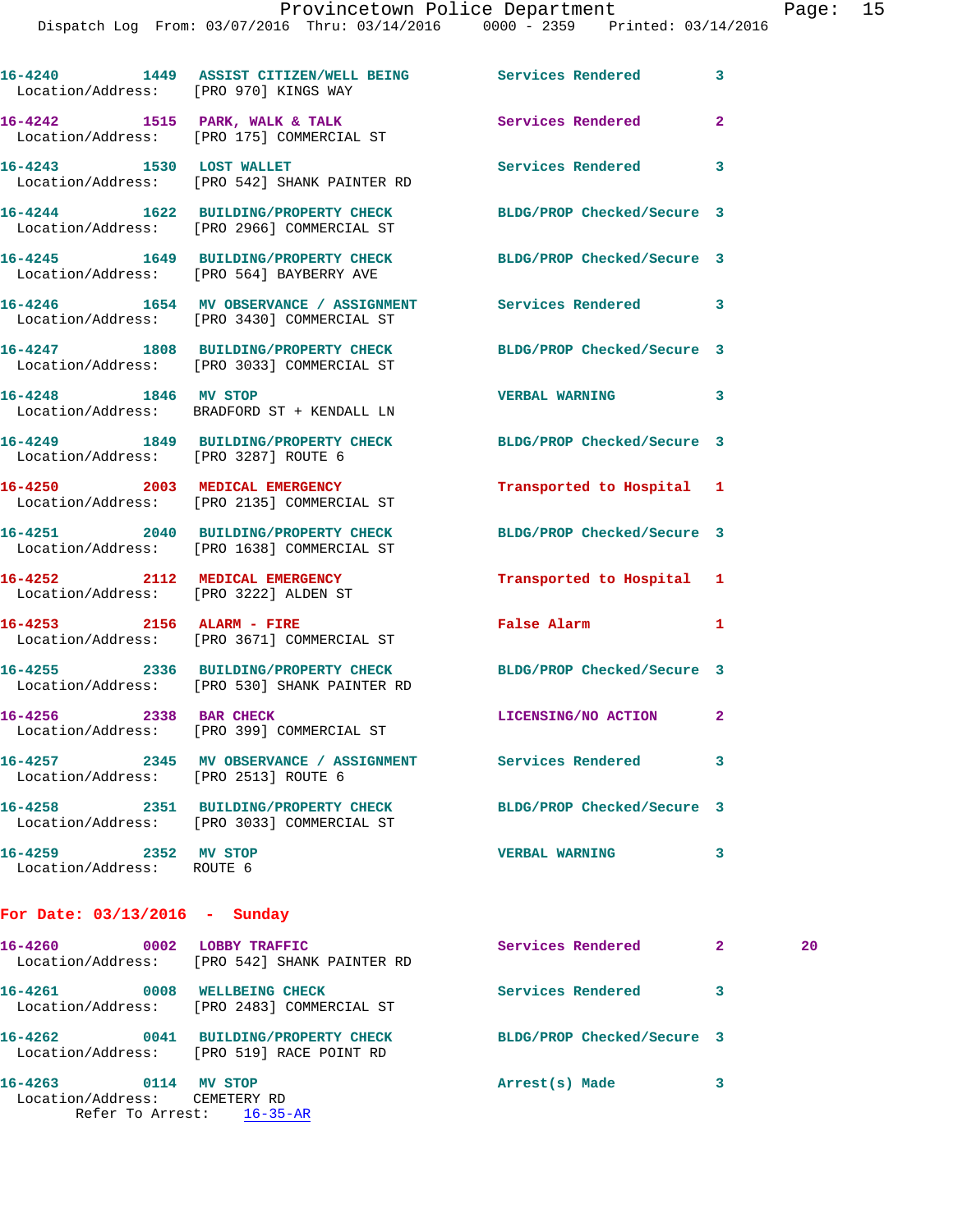Dispatch Log From: 03/07/2016 Thru: 03/14/2016 0000 - 2359 Printed: 03/14/2016

|                                                       | 16-4240 1449 ASSIST CITIZEN/WELL BEING Services Rendered<br>Location/Address: [PRO 970] KINGS WAY |                            | 3              |    |
|-------------------------------------------------------|---------------------------------------------------------------------------------------------------|----------------------------|----------------|----|
|                                                       | 16-4242 1515 PARK, WALK & TALK<br>Location/Address: [PRO 175] COMMERCIAL ST                       | Services Rendered          | $\overline{a}$ |    |
| 16-4243 1530 LOST WALLET                              | Location/Address: [PRO 542] SHANK PAINTER RD                                                      | Services Rendered          | 3              |    |
|                                                       | 16-4244 1622 BUILDING/PROPERTY CHECK<br>Location/Address: [PRO 2966] COMMERCIAL ST                | BLDG/PROP Checked/Secure 3 |                |    |
|                                                       | 16-4245 1649 BUILDING/PROPERTY CHECK<br>Location/Address: [PRO 564] BAYBERRY AVE                  | BLDG/PROP Checked/Secure 3 |                |    |
|                                                       | 16-4246 1654 MV OBSERVANCE / ASSIGNMENT<br>Location/Address: [PRO 3430] COMMERCIAL ST             | Services Rendered          | 3              |    |
|                                                       | 16-4247 1808 BUILDING/PROPERTY CHECK<br>Location/Address: [PRO 3033] COMMERCIAL ST                | BLDG/PROP Checked/Secure 3 |                |    |
| 16-4248 1846 MV STOP                                  | Location/Address: BRADFORD ST + KENDALL LN                                                        | <b>VERBAL WARNING</b>      | 3              |    |
| Location/Address: [PRO 3287] ROUTE 6                  | 16-4249 1849 BUILDING/PROPERTY CHECK                                                              | BLDG/PROP Checked/Secure 3 |                |    |
|                                                       | 16-4250 2003 MEDICAL EMERGENCY<br>Location/Address: [PRO 2135] COMMERCIAL ST                      | Transported to Hospital 1  |                |    |
|                                                       | 16-4251 2040 BUILDING/PROPERTY CHECK<br>Location/Address: [PRO 1638] COMMERCIAL ST                | BLDG/PROP Checked/Secure 3 |                |    |
|                                                       | 16-4252 2112 MEDICAL EMERGENCY<br>Location/Address: [PRO 3222] ALDEN ST                           | Transported to Hospital 1  |                |    |
|                                                       | 16-4253 2156 ALARM - FIRE<br>Location/Address: [PRO 3671] COMMERCIAL ST                           | <b>False Alarm</b>         | 1              |    |
|                                                       | 16-4255 2336 BUILDING/PROPERTY CHECK<br>Location/Address: [PRO 530] SHANK PAINTER RD              | BLDG/PROP Checked/Secure 3 |                |    |
|                                                       | 16-4256 2338 BAR CHECK<br>Location/Address: [PRO 399] COMMERCIAL ST                               | LICENSING/NO ACTION        | $\mathbf{2}$   |    |
| Location/Address: [PRO 2513] ROUTE 6                  | 16-4257 2345 MV OBSERVANCE / ASSIGNMENT Services Rendered                                         |                            | 3              |    |
|                                                       | 16-4258 2351 BUILDING/PROPERTY CHECK<br>Location/Address: [PRO 3033] COMMERCIAL ST                | BLDG/PROP Checked/Secure 3 |                |    |
| 16-4259 2352 MV STOP<br>Location/Address: ROUTE 6     |                                                                                                   | <b>VERBAL WARNING</b>      | 3              |    |
| For Date: $03/13/2016$ - Sunday                       |                                                                                                   |                            |                |    |
|                                                       | 16-4260 0002 LOBBY TRAFFIC<br>Location/Address: [PRO 542] SHANK PAINTER RD                        | Services Rendered          | $\mathbf{2}$   | 20 |
|                                                       | 16-4261 0008 WELLBEING CHECK<br>Location/Address: [PRO 2483] COMMERCIAL ST                        | Services Rendered          | 3              |    |
|                                                       | 16-4262 0041 BUILDING/PROPERTY CHECK<br>Location/Address: [PRO 519] RACE POINT RD                 | BLDG/PROP Checked/Secure 3 |                |    |
| 16-4263 0114 MV STOP<br>Location/Address: CEMETERY RD | Refer To Arrest: 16-35-AR                                                                         | Arrest(s) Made             | 3              |    |
|                                                       |                                                                                                   |                            |                |    |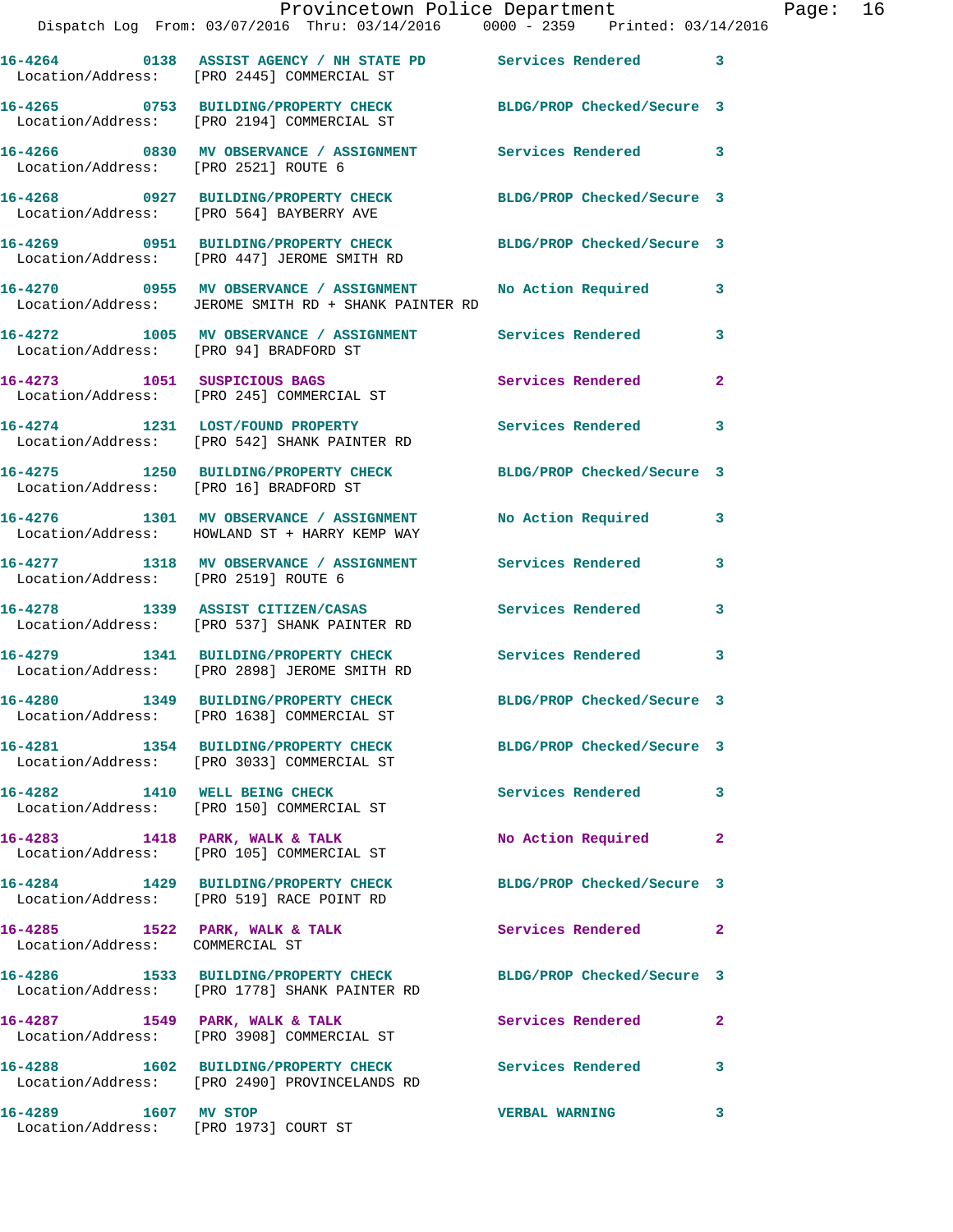|                                        | Provincetown Police Department<br>Dispatch Log From: 03/07/2016 Thru: 03/14/2016 0000 - 2359 Printed: 03/14/2016   |                            |              |
|----------------------------------------|--------------------------------------------------------------------------------------------------------------------|----------------------------|--------------|
|                                        | 16-4264 0138 ASSIST AGENCY / NH STATE PD Services Rendered<br>Location/Address: [PRO 2445] COMMERCIAL ST           |                            | 3            |
|                                        | 16-4265 0753 BUILDING/PROPERTY CHECK BLDG/PROP Checked/Secure 3<br>Location/Address: [PRO 2194] COMMERCIAL ST      |                            |              |
| Location/Address: [PRO 2521] ROUTE 6   | 16-4266 6830 MV OBSERVANCE / ASSIGNMENT Services Rendered                                                          |                            | 3            |
|                                        | 16-4268 0927 BUILDING/PROPERTY CHECK<br>Location/Address: [PRO 564] BAYBERRY AVE                                   | BLDG/PROP Checked/Secure 3 |              |
|                                        | 16-4269 0951 BUILDING/PROPERTY CHECK BLDG/PROP Checked/Secure 3<br>Location/Address: [PRO 447] JEROME SMITH RD     |                            |              |
|                                        | 16-4270 0955 MV OBSERVANCE / ASSIGNMENT No Action Required<br>Location/Address: JEROME SMITH RD + SHANK PAINTER RD |                            | 3            |
| Location/Address: [PRO 94] BRADFORD ST | 16-4272 1005 MV OBSERVANCE / ASSIGNMENT Services Rendered                                                          |                            | 3            |
|                                        | 16-4273 1051 SUSPICIOUS BAGS<br>Location/Address: [PRO 245] COMMERCIAL ST                                          | Services Rendered          | $\mathbf{2}$ |
|                                        | 16-4274 1231 LOST/FOUND PROPERTY<br>Location/Address: [PRO 542] SHANK PAINTER RD                                   | Services Rendered          | 3            |
| Location/Address: [PRO 16] BRADFORD ST | 16-4275 1250 BUILDING/PROPERTY CHECK                                                                               | BLDG/PROP Checked/Secure 3 |              |
|                                        | 16-4276 1301 MV OBSERVANCE / ASSIGNMENT<br>Location/Address: HOWLAND ST + HARRY KEMP WAY                           | <b>No Action Required</b>  | 3            |
| Location/Address: [PRO 2519] ROUTE 6   | 16-4277 1318 MV OBSERVANCE / ASSIGNMENT Services Rendered                                                          |                            | 3            |
|                                        | 16-4278 1339 ASSIST CITIZEN/CASAS<br>Location/Address: [PRO 537] SHANK PAINTER RD                                  | Services Rendered          | 3            |
|                                        | 16-4279 1341 BUILDING/PROPERTY CHECK<br>Location/Address: [PRO 2898] JEROME SMITH RD                               | <b>Services Rendered</b>   | 3            |
|                                        | 16-4280 1349 BUILDING/PROPERTY CHECK<br>Location/Address: [PRO 1638] COMMERCIAL ST                                 | BLDG/PROP Checked/Secure 3 |              |
|                                        | 16-4281 1354 BUILDING/PROPERTY CHECK BLDG/PROP Checked/Secure 3<br>Location/Address: [PRO 3033] COMMERCIAL ST      |                            |              |
|                                        | 16-4282 1410 WELL BEING CHECK<br>Location/Address: [PRO 150] COMMERCIAL ST                                         | <b>Services Rendered</b>   | 3            |
|                                        | 16-4283 1418 PARK, WALK & TALK<br>Location/Address: [PRO 105] COMMERCIAL ST                                        | No Action Required         | 2            |
|                                        | 16-4284 1429 BUILDING/PROPERTY CHECK<br>Location/Address: [PRO 519] RACE POINT RD                                  | BLDG/PROP Checked/Secure 3 |              |
| Location/Address: COMMERCIAL ST        | 16-4285 1522 PARK, WALK & TALK                                                                                     | Services Rendered          | 2            |
|                                        | 16-4286 1533 BUILDING/PROPERTY CHECK BLDG/PROP Checked/Secure 3<br>Location/Address: [PRO 1778] SHANK PAINTER RD   |                            |              |
|                                        | 16-4287 1549 PARK, WALK & TALK<br>Location/Address: [PRO 3908] COMMERCIAL ST                                       | Services Rendered          | $\mathbf{2}$ |
|                                        | 16-4288 1602 BUILDING/PROPERTY CHECK<br>Location/Address: [PRO 2490] PROVINCELANDS RD                              | <b>Services Rendered</b>   | 3            |
| 16-4289 1607 MV STOP                   |                                                                                                                    | <b>VERBAL WARNING</b>      | 3            |

Location/Address: [PRO 1973] COURT ST

Page: 16<br>16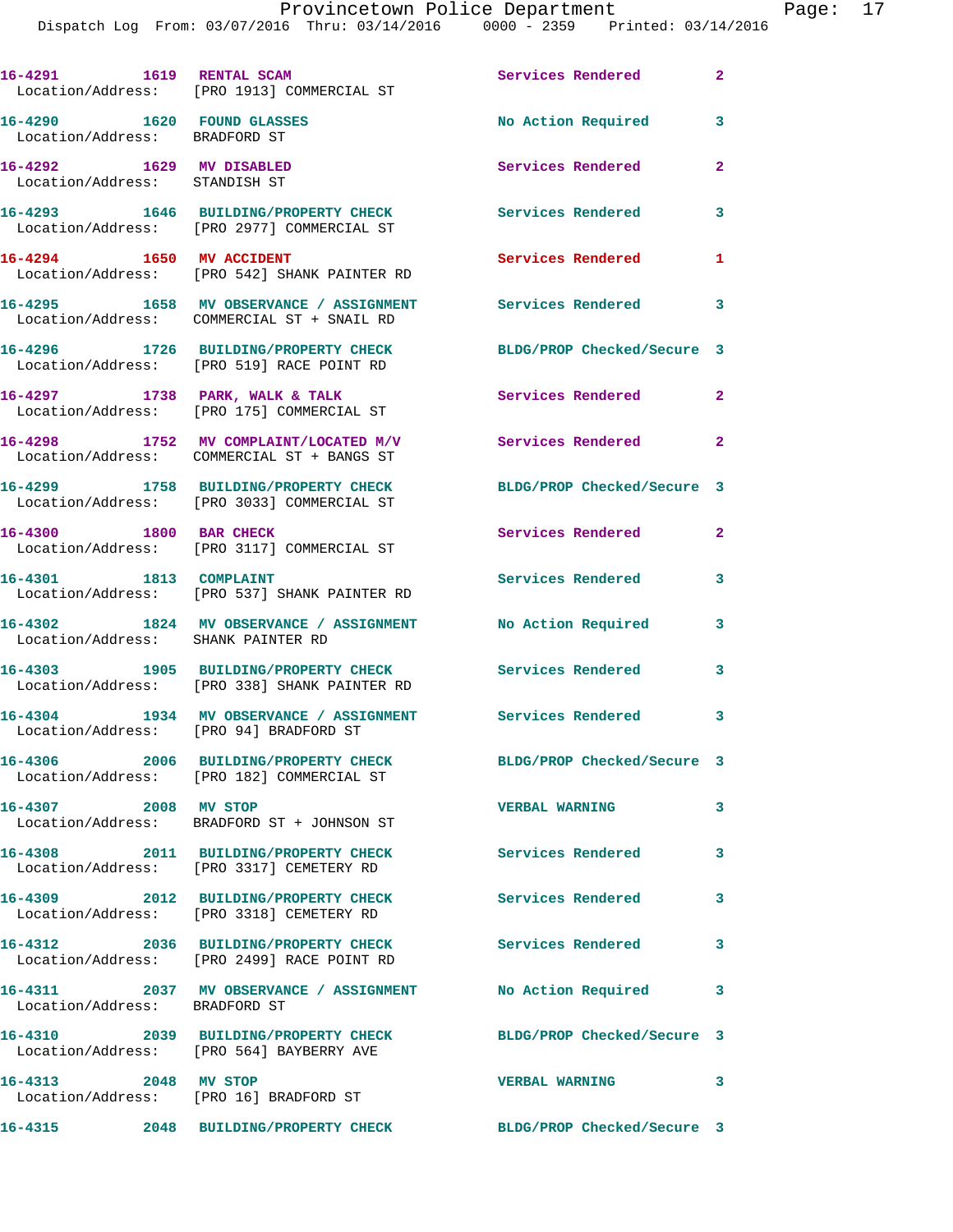| 16-4291 1619 RENTAL SCAM                                       | Location/Address: [PRO 1913] COMMERCIAL ST                                                             | Services Rendered<br>$\sim$ 2 |                |
|----------------------------------------------------------------|--------------------------------------------------------------------------------------------------------|-------------------------------|----------------|
| 16-4290 1620 FOUND GLASSES<br>Location/Address: BRADFORD ST    |                                                                                                        | No Action Required            | 3              |
| 16-4292 1629 MV DISABLED<br>Location/Address: STANDISH ST      |                                                                                                        | Services Rendered             | $\overline{2}$ |
|                                                                | 16-4293 1646 BUILDING/PROPERTY CHECK<br>Location/Address: [PRO 2977] COMMERCIAL ST                     | Services Rendered             | 3              |
| 16-4294 1650 MV ACCIDENT                                       | Location/Address: [PRO 542] SHANK PAINTER RD                                                           | Services Rendered             | 1              |
|                                                                | 16-4295 1658 MV OBSERVANCE / ASSIGNMENT<br>Location/Address: COMMERCIAL ST + SNAIL RD                  | Services Rendered             | 3              |
|                                                                | 16-4296 1726 BUILDING/PROPERTY CHECK<br>Location/Address: [PRO 519] RACE POINT RD                      | BLDG/PROP Checked/Secure 3    |                |
|                                                                | 16-4297 1738 PARK, WALK & TALK<br>Location/Address: [PRO 175] COMMERCIAL ST                            | Services Rendered             | $\overline{2}$ |
|                                                                | 16-4298 1752 MV COMPLAINT/LOCATED M/V<br>Location/Address: COMMERCIAL ST + BANGS ST                    | Services Rendered             | $\mathbf{2}$   |
|                                                                | 16-4299 1758 BUILDING/PROPERTY CHECK<br>Location/Address: [PRO 3033] COMMERCIAL ST                     | BLDG/PROP Checked/Secure 3    |                |
| 16-4300 1800 BAR CHECK                                         | Location/Address: [PRO 3117] COMMERCIAL ST                                                             | Services Rendered             | $\mathbf{2}$   |
| 16-4301 1813 COMPLAINT                                         | Location/Address: [PRO 537] SHANK PAINTER RD                                                           | Services Rendered             | 3              |
| Location/Address: SHANK PAINTER RD                             | 16-4302 1824 MV OBSERVANCE / ASSIGNMENT                                                                | No Action Required            | 3              |
|                                                                | 16-4303 1905 BUILDING/PROPERTY CHECK Services Rendered<br>Location/Address: [PRO 338] SHANK PAINTER RD |                               | 3              |
|                                                                | 16-4304 1934 MV OBSERVANCE / ASSIGNMENT<br>Location/Address: [PRO 94] BRADFORD ST                      | Services Rendered             | 3              |
|                                                                | 16-4306 2006 BUILDING/PROPERTY CHECK<br>Location/Address: [PRO 182] COMMERCIAL ST                      | BLDG/PROP Checked/Secure 3    |                |
| 16-4307 2008 MV STOP                                           | Location/Address: BRADFORD ST + JOHNSON ST                                                             | <b>VERBAL WARNING</b>         | 3              |
|                                                                | 16-4308 2011 BUILDING/PROPERTY CHECK<br>Location/Address: [PRO 3317] CEMETERY RD                       | <b>Services Rendered</b>      | 3              |
|                                                                | 16-4309 2012 BUILDING/PROPERTY CHECK<br>Location/Address: [PRO 3318] CEMETERY RD                       | <b>Services Rendered</b>      | 3              |
|                                                                | 16-4312 2036 BUILDING/PROPERTY CHECK<br>Location/Address: [PRO 2499] RACE POINT RD                     | Services Rendered             | 3              |
| Location/Address: BRADFORD ST                                  | 16-4311 2037 MV OBSERVANCE / ASSIGNMENT                                                                | No Action Required            | 3              |
|                                                                | 16-4310 2039 BUILDING/PROPERTY CHECK<br>Location/Address: [PRO 564] BAYBERRY AVE                       | BLDG/PROP Checked/Secure 3    |                |
| 16-4313 2048 MV STOP<br>Location/Address: [PRO 16] BRADFORD ST |                                                                                                        | <b>VERBAL WARNING</b>         | 3              |
|                                                                |                                                                                                        |                               |                |

**16-4315 2048 BUILDING/PROPERTY CHECK BLDG/PROP Checked/Secure 3**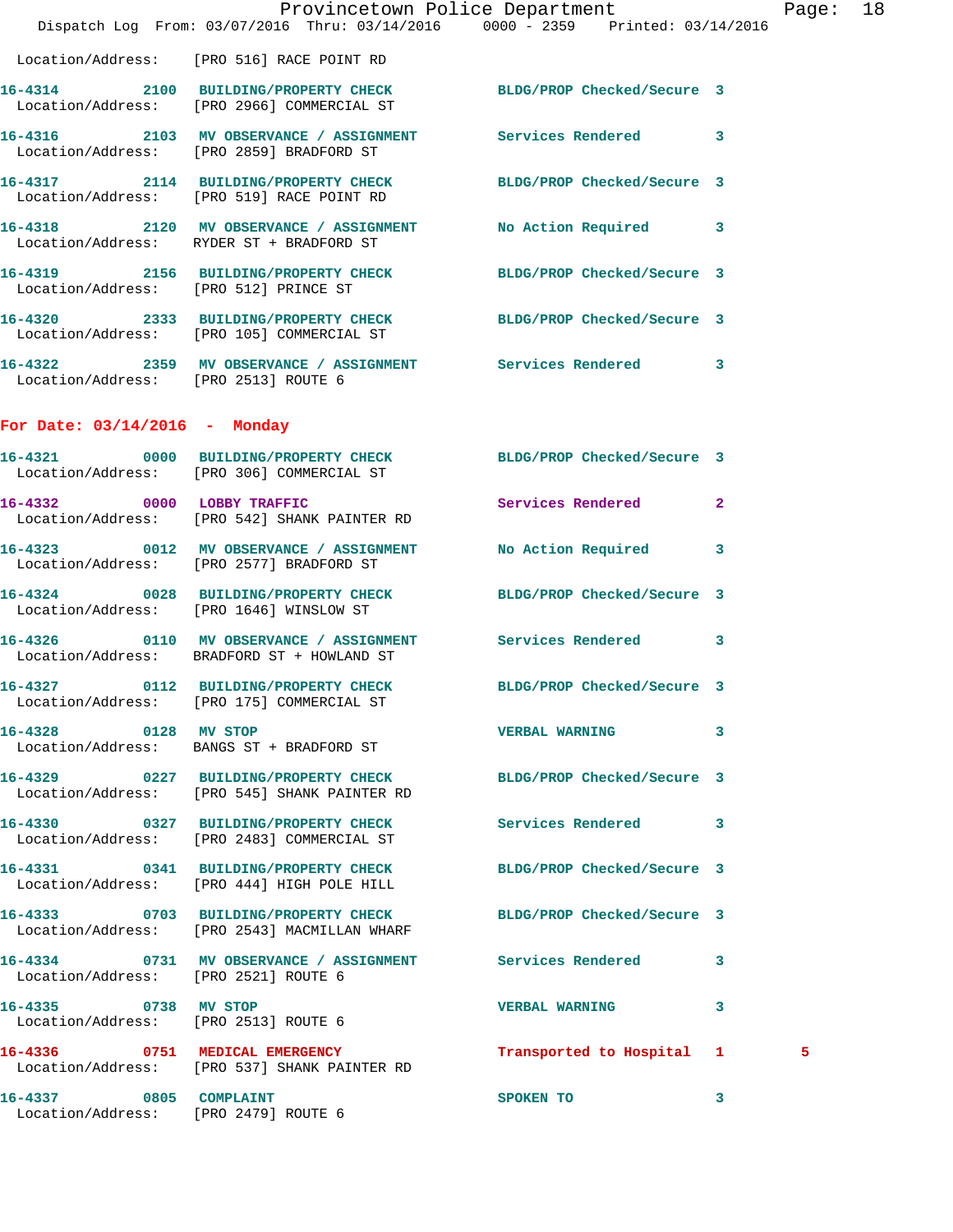|                                      | Provincetown Police Department The Rage: 18<br>Dispatch Log From: 03/07/2016 Thru: 03/14/2016 0000 - 2359 Printed: 03/14/2016 |                         |   |   |  |
|--------------------------------------|-------------------------------------------------------------------------------------------------------------------------------|-------------------------|---|---|--|
|                                      | Location/Address: [PRO 516] RACE POINT RD                                                                                     |                         |   |   |  |
|                                      | 16-4314 2100 BUILDING/PROPERTY CHECK BLDG/PROP Checked/Secure 3<br>Location/Address: [PRO 2966] COMMERCIAL ST                 |                         |   |   |  |
|                                      | 16-4316 2103 MV OBSERVANCE / ASSIGNMENT Services Rendered 3<br>Location/Address: [PRO 2859] BRADFORD ST                       |                         |   |   |  |
|                                      | 16-4317 2114 BUILDING/PROPERTY CHECK BLDG/PROP Checked/Secure 3<br>Location/Address: [PRO 519] RACE POINT RD                  |                         |   |   |  |
|                                      | 16-4318 2120 MV OBSERVANCE / ASSIGNMENT No Action Required 3<br>Location/Address: RYDER ST + BRADFORD ST                      |                         |   |   |  |
|                                      | 16-4319 2156 BUILDING/PROPERTY CHECK BLDG/PROP Checked/Secure 3<br>Location/Address: [PRO 512] PRINCE ST                      |                         |   |   |  |
|                                      | 16-4320 2333 BUILDING/PROPERTY CHECK BLDG/PROP Checked/Secure 3<br>Location/Address: [PRO 105] COMMERCIAL ST                  |                         |   |   |  |
| Location/Address: [PRO 2513] ROUTE 6 | 16-4322 2359 MV OBSERVANCE / ASSIGNMENT Services Rendered 3                                                                   |                         |   |   |  |
| For Date: $03/14/2016$ - Monday      |                                                                                                                               |                         |   |   |  |
|                                      | 16-4321 0000 BUILDING/PROPERTY CHECK BLDG/PROP Checked/Secure 3<br>Location/Address: [PRO 306] COMMERCIAL ST                  |                         |   |   |  |
|                                      | 16-4332 0000 LOBBY TRAFFIC<br>Location/Address: [PRO 542] SHANK PAINTER RD                                                    | Services Rendered 2     |   |   |  |
|                                      | 16-4323 0012 MV OBSERVANCE / ASSIGNMENT No Action Required 3<br>Location/Address: [PRO 2577] BRADFORD ST                      |                         |   |   |  |
|                                      | 16-4324 0028 BUILDING/PROPERTY CHECK BLDG/PROP Checked/Secure 3<br>Location/Address: [PRO 1646] WINSLOW ST                    |                         |   |   |  |
|                                      | 16-4326 0110 MV OBSERVANCE / ASSIGNMENT Services Rendered 3<br>Location/Address: BRADFORD ST + HOWLAND ST                     |                         |   |   |  |
|                                      | 16-4327 0112 BUILDING/PROPERTY CHECK BLDG/PROP Checked/Secure 3<br>Location/Address: [PRO 175] COMMERCIAL ST                  |                         |   |   |  |
| 16-4328 0128 MV STOP                 | Location/Address: BANGS ST + BRADFORD ST                                                                                      | VERBAL WARNING 3        |   |   |  |
|                                      | 16-4329 0227 BUILDING/PROPERTY CHECK BLDG/PROP Checked/Secure 3<br>Location/Address: [PRO 545] SHANK PAINTER RD               |                         |   |   |  |
|                                      | 16-4330 0327 BUILDING/PROPERTY CHECK Services Rendered 3<br>Location/Address: [PRO 2483] COMMERCIAL ST                        |                         |   |   |  |
|                                      | 16-4331 0341 BUILDING/PROPERTY CHECK BLDG/PROP Checked/Secure 3<br>Location/Address: [PRO 444] HIGH POLE HILL                 |                         |   |   |  |
|                                      | 16-4333 0703 BUILDING/PROPERTY CHECK BLDG/PROP Checked/Secure 3<br>Location/Address: [PRO 2543] MACMILLAN WHARF               |                         |   |   |  |
| Location/Address: [PRO 2521] ROUTE 6 | 16-4334 0731 MV OBSERVANCE / ASSIGNMENT Services Rendered 3                                                                   |                         |   |   |  |
| 16-4335 0738 MV STOP                 | Location/Address: [PRO 2513] ROUTE 6                                                                                          | <b>VERBAL WARNING 3</b> |   |   |  |
|                                      | 16-4336 0751 MEDICAL EMERGENCY Transported to Hospital 1<br>Location/Address: [PRO 537] SHANK PAINTER RD                      |                         |   | 5 |  |
| 16-4337 0805 COMPLAINT               | Location/Address: [PRO 2479] ROUTE 6                                                                                          | SPOKEN TO               | 3 |   |  |